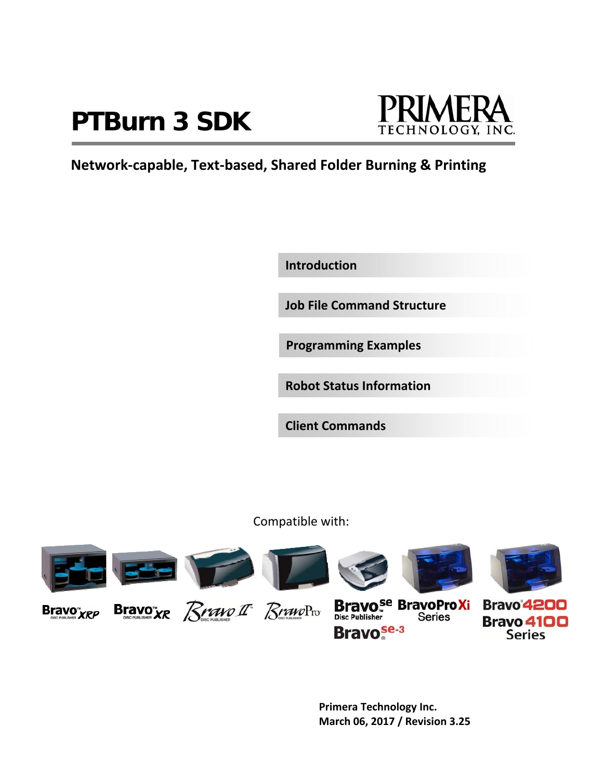# **PTBurn 3 SDK**



# **Network‐capable, Text‐based, Shared Folder Burning & Printing**

**Introduction**

**Job File Command Structure**

**Programming Examples**

**Robot Status Information**

**Client Commands**

Compatible with:



**Bravo**<sup>se-3</sup>



**Bravo 4100 Series** 

 **Primera Technology Inc. March 06, 2017 / Revision 3.25**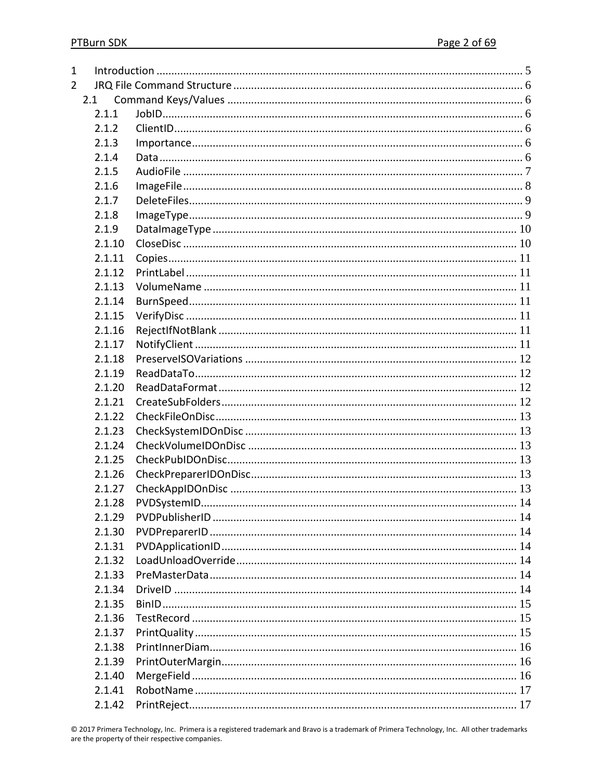| 1              |        |  |
|----------------|--------|--|
| $\overline{2}$ |        |  |
|                | 2.1    |  |
|                | 2.1.1  |  |
|                | 2.1.2  |  |
|                | 2.1.3  |  |
|                | 2.1.4  |  |
|                | 2.1.5  |  |
|                | 2.1.6  |  |
|                | 2.1.7  |  |
|                | 2.1.8  |  |
|                | 2.1.9  |  |
|                | 2.1.10 |  |
|                | 2.1.11 |  |
|                | 2.1.12 |  |
|                | 2.1.13 |  |
|                | 2.1.14 |  |
|                | 2.1.15 |  |
|                | 2.1.16 |  |
|                | 2.1.17 |  |
|                | 2.1.18 |  |
|                | 2.1.19 |  |
|                | 2.1.20 |  |
|                | 2.1.21 |  |
|                | 2.1.22 |  |
|                | 2.1.23 |  |
|                | 2.1.24 |  |
|                | 2.1.25 |  |
|                | 2.1.26 |  |
|                | 2.1.27 |  |
|                | 2.1.28 |  |
|                | 2.1.29 |  |
|                | 2.1.30 |  |
|                | 2.1.31 |  |
|                | 2.1.32 |  |
|                | 2.1.33 |  |
|                | 2.1.34 |  |
|                | 2.1.35 |  |
|                | 2.1.36 |  |
|                | 2.1.37 |  |
|                | 2.1.38 |  |
|                | 2.1.39 |  |
|                | 2.1.40 |  |
|                | 2.1.41 |  |
|                | 2.1.42 |  |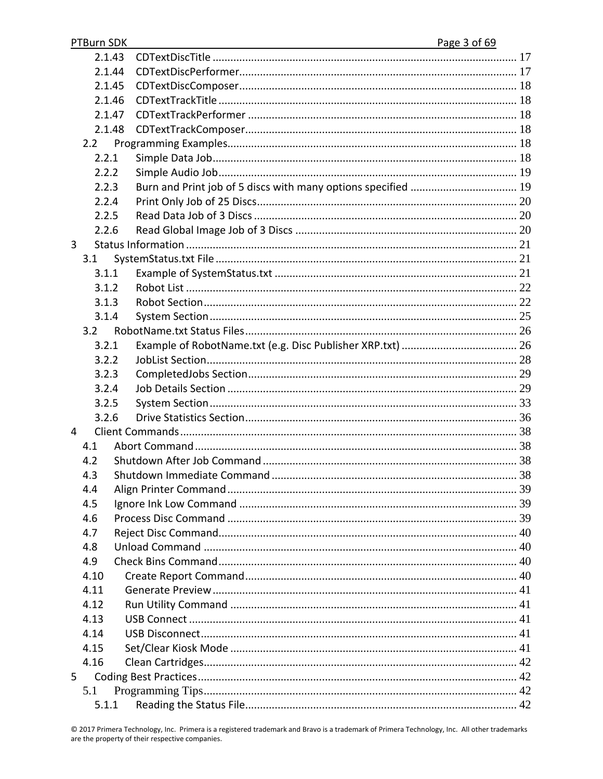| PTBurn SDK | Page 3 of 69 |
|------------|--------------|
| 2.1.43     |              |
| 2.1.44     |              |
| 2.1.45     |              |
| 2.1.46     |              |
| 2.1.47     |              |
| 2.1.48     |              |
| 2.2        |              |
| 2.2.1      |              |
| 2.2.2      |              |
| 2.2.3      |              |
| 2.2.4      |              |
| 2.2.5      |              |
| 2.2.6      |              |
| 3          |              |
| 3.1        |              |
| 3.1.1      |              |
| 3.1.2      |              |
| 3.1.3      |              |
| 3.1.4      |              |
| 3.2        |              |
| 3.2.1      |              |
| 3.2.2      |              |
| 3.2.3      |              |
| 3.2.4      |              |
| 3.2.5      |              |
| 3.2.6      |              |
| 4          |              |
| 4.1        |              |
| 4.2        |              |
| 4.3        |              |
| 4.4        |              |
| 4.5        |              |
| 4.6        |              |
| 4.7        |              |
| 4.8        |              |
| 4.9        |              |
| 4.10       |              |
| 4.11       |              |
| 4.12       |              |
| 4.13       |              |
| 4.14       |              |
| 4.15       |              |
| 4.16       |              |
| 5.         |              |
| 5.1        |              |
|            |              |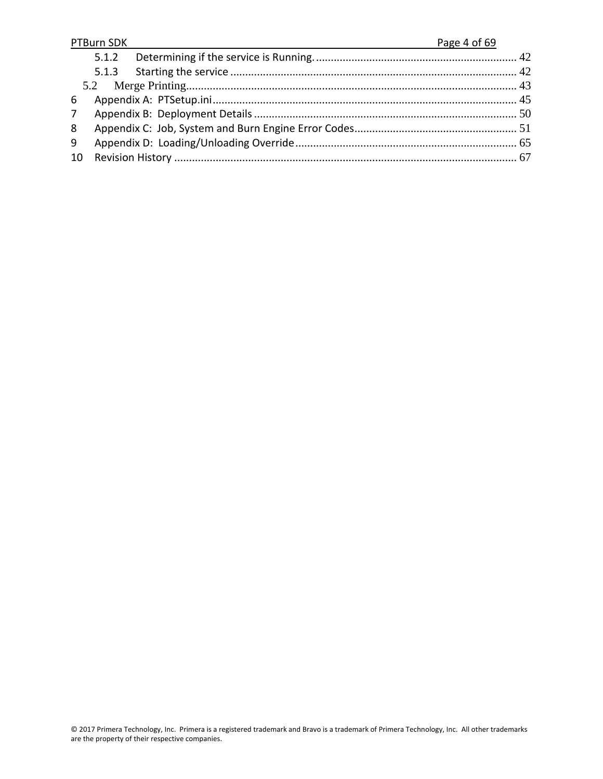|             | PTBurn SDK | Page 4 of 69 |
|-------------|------------|--------------|
|             | 5.1.2      |              |
|             |            |              |
|             |            |              |
| 6           |            |              |
| $7^{\circ}$ |            |              |
| 8           |            |              |
| 9           |            |              |
| 10          |            |              |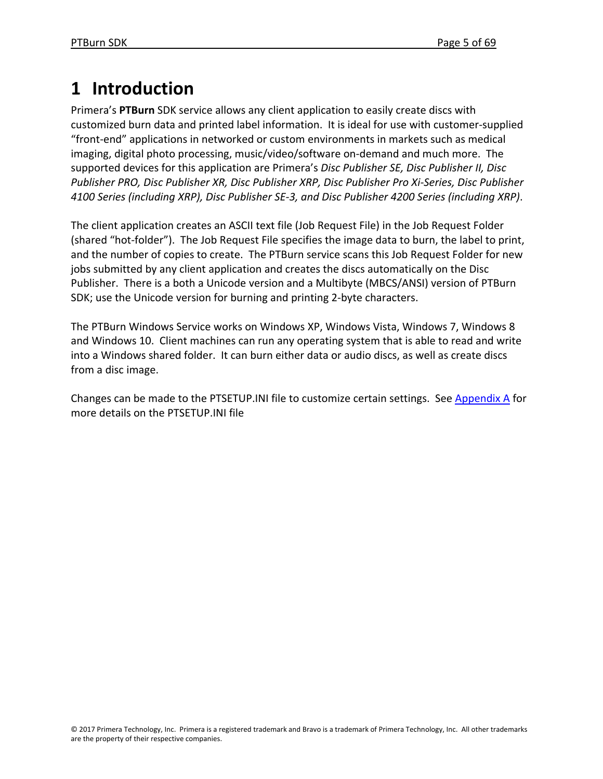# **1 Introduction**

Primera's **PTBurn** SDK service allows any client application to easily create discs with customized burn data and printed label information. It is ideal for use with customer‐supplied "front‐end" applications in networked or custom environments in markets such as medical imaging, digital photo processing, music/video/software on‐demand and much more. The supported devices for this application are Primera's *Disc Publisher SE, Disc Publisher II, Disc Publisher PRO, Disc Publisher XR, Disc Publisher XRP, Disc Publisher Pro Xi‐Series, Disc Publisher 4100 Series (including XRP), Disc Publisher SE‐3, and Disc Publisher 4200 Series (including XRP)*.

The client application creates an ASCII text file (Job Request File) in the Job Request Folder (shared "hot‐folder"). The Job Request File specifies the image data to burn, the label to print, and the number of copies to create. The PTBurn service scans this Job Request Folder for new jobs submitted by any client application and creates the discs automatically on the Disc Publisher. There is a both a Unicode version and a Multibyte (MBCS/ANSI) version of PTBurn SDK; use the Unicode version for burning and printing 2‐byte characters.

The PTBurn Windows Service works on Windows XP, Windows Vista, Windows 7, Windows 8 and Windows 10. Client machines can run any operating system that is able to read and write into a Windows shared folder. It can burn either data or audio discs, as well as create discs from a disc image.

Changes can be made to the PTSETUP.INI file to customize certain settings. See Appendix A for more details on the PTSETUP.INI file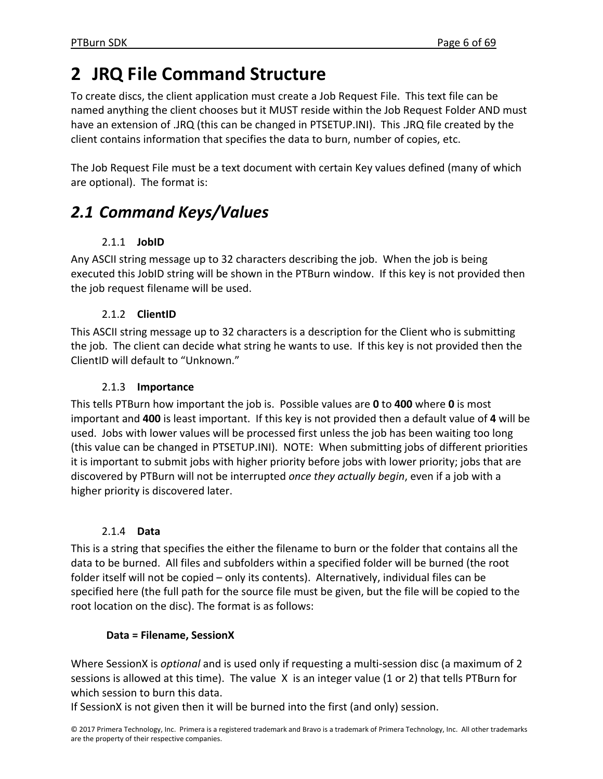# **2 JRQ File Command Structure**

To create discs, the client application must create a Job Request File. This text file can be named anything the client chooses but it MUST reside within the Job Request Folder AND must have an extension of .JRQ (this can be changed in PTSETUP.INI). This .JRQ file created by the client contains information that specifies the data to burn, number of copies, etc.

The Job Request File must be a text document with certain Key values defined (many of which are optional). The format is:

# *2.1 Command Keys/Values*

# 2.1.1 **JobID**

Any ASCII string message up to 32 characters describing the job. When the job is being executed this JobID string will be shown in the PTBurn window. If this key is not provided then the job request filename will be used.

# 2.1.2 **ClientID**

This ASCII string message up to 32 characters is a description for the Client who is submitting the job. The client can decide what string he wants to use. If this key is not provided then the ClientID will default to "Unknown."

# 2.1.3 **Importance**

This tells PTBurn how important the job is. Possible values are **0** to **400** where **0** is most important and **400** is least important. If this key is not provided then a default value of **4** will be used. Jobs with lower values will be processed first unless the job has been waiting too long (this value can be changed in PTSETUP.INI). NOTE: When submitting jobs of different priorities it is important to submit jobs with higher priority before jobs with lower priority; jobs that are discovered by PTBurn will not be interrupted *once they actually begin*, even if a job with a higher priority is discovered later.

# 2.1.4 **Data**

This is a string that specifies the either the filename to burn or the folder that contains all the data to be burned. All files and subfolders within a specified folder will be burned (the root folder itself will not be copied – only its contents). Alternatively, individual files can be specified here (the full path for the source file must be given, but the file will be copied to the root location on the disc). The format is as follows:

# **Data = Filename, SessionX**

Where SessionX is *optional* and is used only if requesting a multi‐session disc (a maximum of 2 sessions is allowed at this time). The value X is an integer value (1 or 2) that tells PTBurn for which session to burn this data.

If SessionX is not given then it will be burned into the first (and only) session.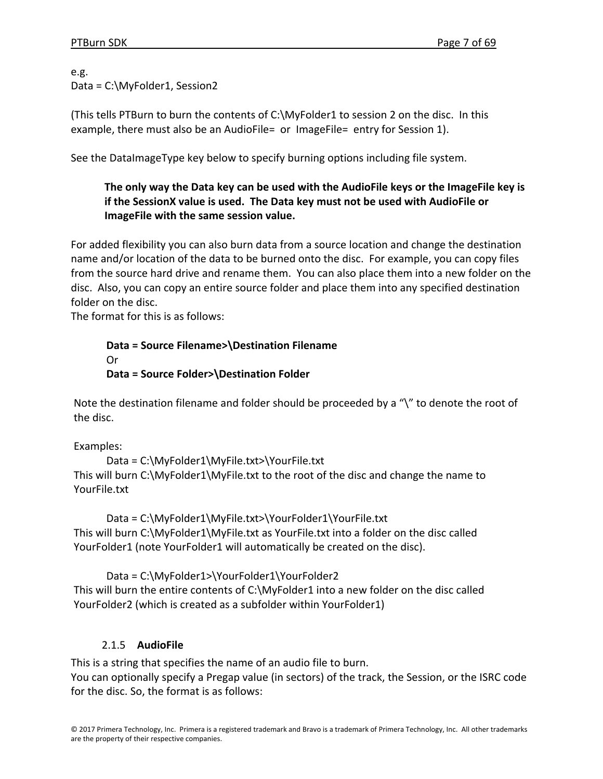e.g. Data = C:\MyFolder1, Session2

(This tells PTBurn to burn the contents of C:\MyFolder1 to session 2 on the disc. In this example, there must also be an AudioFile= or ImageFile= entry for Session 1).

See the DataImageType key below to specify burning options including file system.

# **The only way the Data key can be used with the AudioFile keys or the ImageFile key is if the SessionX value is used. The Data key must not be used with AudioFile or ImageFile with the same session value.**

For added flexibility you can also burn data from a source location and change the destination name and/or location of the data to be burned onto the disc. For example, you can copy files from the source hard drive and rename them. You can also place them into a new folder on the disc. Also, you can copy an entire source folder and place them into any specified destination folder on the disc.

The format for this is as follows:

**Data = Source Filename>\Destination Filename** Or **Data = Source Folder>\Destination Folder**

Note the destination filename and folder should be proceeded by a "\" to denote the root of the disc.

Examples:

Data = C:\MyFolder1\MyFile.txt>\YourFile.txt This will burn C:\MyFolder1\MyFile.txt to the root of the disc and change the name to YourFile.txt

Data = C:\MyFolder1\MyFile.txt>\YourFolder1\YourFile.txt This will burn C:\MyFolder1\MyFile.txt as YourFile.txt into a folder on the disc called YourFolder1 (note YourFolder1 will automatically be created on the disc).

Data = C:\MyFolder1>\YourFolder1\YourFolder2 This will burn the entire contents of C:\MyFolder1 into a new folder on the disc called YourFolder2 (which is created as a subfolder within YourFolder1)

# 2.1.5 **AudioFile**

This is a string that specifies the name of an audio file to burn. You can optionally specify a Pregap value (in sectors) of the track, the Session, or the ISRC code for the disc. So, the format is as follows: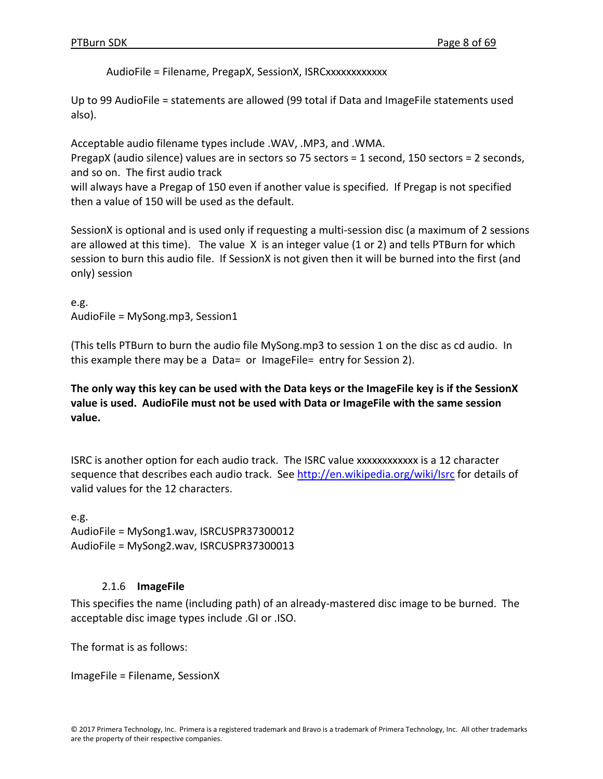AudioFile = Filename, PregapX, SessionX, ISRCxxxxxxxxxxxx

Up to 99 AudioFile = statements are allowed (99 total if Data and ImageFile statements used also).

Acceptable audio filename types include .WAV, .MP3, and .WMA.

PregapX (audio silence) values are in sectors so 75 sectors = 1 second, 150 sectors = 2 seconds, and so on. The first audio track

will always have a Pregap of 150 even if another value is specified. If Pregap is not specified then a value of 150 will be used as the default.

SessionX is optional and is used only if requesting a multi‐session disc (a maximum of 2 sessions are allowed at this time). The value  $X$  is an integer value (1 or 2) and tells PTBurn for which session to burn this audio file. If SessionX is not given then it will be burned into the first (and only) session

e.g. AudioFile = MySong.mp3, Session1

(This tells PTBurn to burn the audio file MySong.mp3 to session 1 on the disc as cd audio. In this example there may be a Data= or ImageFile= entry for Session 2).

The only way this key can be used with the Data keys or the ImageFile key is if the SessionX **value is used. AudioFile must not be used with Data or ImageFile with the same session value.**

ISRC is another option for each audio track. The ISRC value xxxxxxxxxxxx is a 12 character sequence that describes each audio track. See http://en.wikipedia.org/wiki/Isrc for details of valid values for the 12 characters.

e.g. AudioFile = MySong1.wav, ISRCUSPR37300012 AudioFile = MySong2.wav, ISRCUSPR37300013

# 2.1.6 **ImageFile**

This specifies the name (including path) of an already‐mastered disc image to be burned. The acceptable disc image types include .GI or .ISO.

The format is as follows:

ImageFile = Filename, SessionX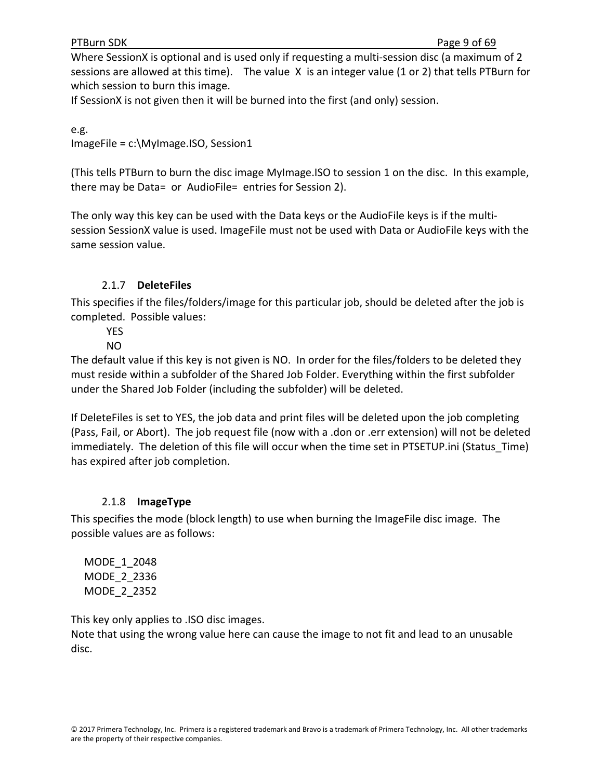#### PTBurn SDK Page 9 of 69

Where SessionX is optional and is used only if requesting a multi-session disc (a maximum of 2 sessions are allowed at this time). The value X is an integer value (1 or 2) that tells PTBurn for which session to burn this image.

If SessionX is not given then it will be burned into the first (and only) session.

e.g. ImageFile = c:\MyImage.ISO, Session1

(This tells PTBurn to burn the disc image MyImage.ISO to session 1 on the disc. In this example, there may be Data= or AudioFile= entries for Session 2).

The only way this key can be used with the Data keys or the AudioFile keys is if the multi‐ session SessionX value is used. ImageFile must not be used with Data or AudioFile keys with the same session value.

# 2.1.7 **DeleteFiles**

This specifies if the files/folders/image for this particular job, should be deleted after the job is completed. Possible values:

**YES** 

# NO

The default value if this key is not given is NO. In order for the files/folders to be deleted they must reside within a subfolder of the Shared Job Folder. Everything within the first subfolder under the Shared Job Folder (including the subfolder) will be deleted.

If DeleteFiles is set to YES, the job data and print files will be deleted upon the job completing (Pass, Fail, or Abort). The job request file (now with a .don or .err extension) will not be deleted immediately. The deletion of this file will occur when the time set in PTSETUP.ini (Status\_Time) has expired after job completion.

# 2.1.8 **ImageType**

This specifies the mode (block length) to use when burning the ImageFile disc image. The possible values are as follows:

 MODE\_1\_2048 MODE\_2\_2336 MODE\_2\_2352

This key only applies to .ISO disc images.

Note that using the wrong value here can cause the image to not fit and lead to an unusable disc.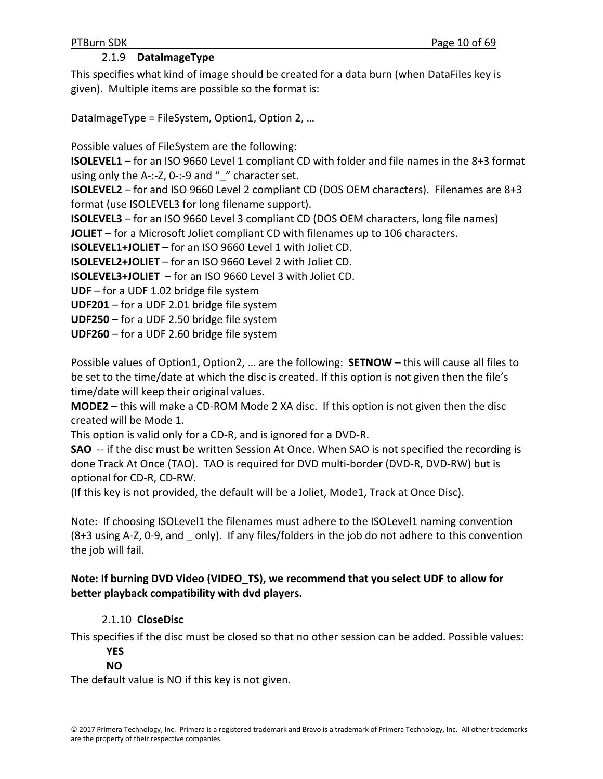# 2.1.9 **DataImageType**

This specifies what kind of image should be created for a data burn (when DataFiles key is given). Multiple items are possible so the format is:

DataImageType = FileSystem, Option1, Option 2, ...

Possible values of FileSystem are the following:

**ISOLEVEL1** – for an ISO 9660 Level 1 compliant CD with folder and file names in the 8+3 format using only the A-:-Z, 0-:-9 and " " character set.

**ISOLEVEL2** – for and ISO 9660 Level 2 compliant CD (DOS OEM characters). Filenames are 8+3 format (use ISOLEVEL3 for long filename support).

**ISOLEVEL3** – for an ISO 9660 Level 3 compliant CD (DOS OEM characters, long file names)

**JOLIET** – for a Microsoft Joliet compliant CD with filenames up to 106 characters.

**ISOLEVEL1+JOLIET** – for an ISO 9660 Level 1 with Joliet CD.

**ISOLEVEL2+JOLIET** – for an ISO 9660 Level 2 with Joliet CD.

**ISOLEVEL3+JOLIET** – for an ISO 9660 Level 3 with Joliet CD.

**UDF** – for a UDF 1.02 bridge file system

**UDF201** – for a UDF 2.01 bridge file system

**UDF250** – for a UDF 2.50 bridge file system

**UDF260** – for a UDF 2.60 bridge file system

Possible values of Option1, Option2, … are the following: **SETNOW** – this will cause all files to be set to the time/date at which the disc is created. If this option is not given then the file's time/date will keep their original values.

**MODE2** – this will make a CD‐ROM Mode 2 XA disc. If this option is not given then the disc created will be Mode 1.

This option is valid only for a CD‐R, and is ignored for a DVD‐R.

**SAO** -- if the disc must be written Session At Once. When SAO is not specified the recording is done Track At Once (TAO). TAO is required for DVD multi‐border (DVD‐R, DVD‐RW) but is optional for CD‐R, CD‐RW.

(If this key is not provided, the default will be a Joliet, Mode1, Track at Once Disc).

Note: If choosing ISOLevel1 the filenames must adhere to the ISOLevel1 naming convention (8+3 using A‐Z, 0‐9, and \_ only). If any files/folders in the job do not adhere to this convention the job will fail.

## **Note: If burning DVD Video (VIDEO\_TS), we recommend that you select UDF to allow for better playback compatibility with dvd players.**

# 2.1.10 **CloseDisc**

This specifies if the disc must be closed so that no other session can be added. Possible values:

#### **YES NO**

The default value is NO if this key is not given.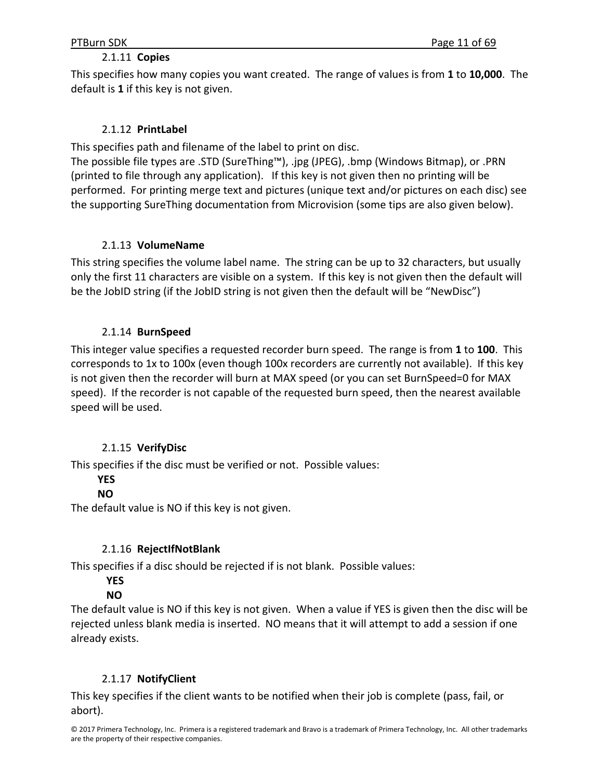## 2.1.11 **Copies**

This specifies how many copies you want created. The range of values is from **1** to **10,000**. The default is **1** if this key is not given.

## 2.1.12 **PrintLabel**

This specifies path and filename of the label to print on disc.

The possible file types are .STD (SureThing™), .jpg (JPEG), .bmp (Windows Bitmap), or .PRN (printed to file through any application). If this key is not given then no printing will be performed. For printing merge text and pictures (unique text and/or pictures on each disc) see the supporting SureThing documentation from Microvision (some tips are also given below).

## 2.1.13 **VolumeName**

This string specifies the volume label name. The string can be up to 32 characters, but usually only the first 11 characters are visible on a system. If this key is not given then the default will be the JobID string (if the JobID string is not given then the default will be "NewDisc")

# 2.1.14 **BurnSpeed**

This integer value specifies a requested recorder burn speed. The range is from **1** to **100**. This corresponds to 1x to 100x (even though 100x recorders are currently not available). If this key is not given then the recorder will burn at MAX speed (or you can set BurnSpeed=0 for MAX speed). If the recorder is not capable of the requested burn speed, then the nearest available speed will be used.

# 2.1.15 **VerifyDisc**

This specifies if the disc must be verified or not. Possible values:

## **YES**

# **NO**

The default value is NO if this key is not given.

# 2.1.16 **RejectIfNotBlank**

This specifies if a disc should be rejected if is not blank. Possible values:

# **YES**

# **NO**

The default value is NO if this key is not given. When a value if YES is given then the disc will be rejected unless blank media is inserted. NO means that it will attempt to add a session if one already exists.

## 2.1.17 **NotifyClient**

This key specifies if the client wants to be notified when their job is complete (pass, fail, or abort).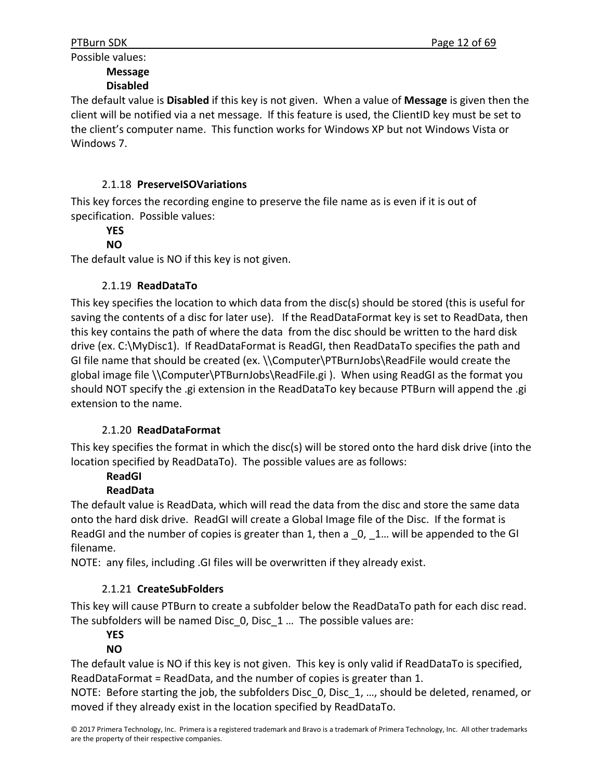Possible values:

# **Message**

# **Disabled**

The default value is **Disabled** if this key is not given. When a value of **Message** is given then the client will be notified via a net message. If this feature is used, the ClientID key must be set to the client's computer name. This function works for Windows XP but not Windows Vista or Windows 7.

# 2.1.18 **PreserveISOVariations**

This key forces the recording engine to preserve the file name as is even if it is out of specification. Possible values:

#### **YES NO**

The default value is NO if this key is not given.

# 2.1.19 **ReadDataTo**

This key specifies the location to which data from the disc(s) should be stored (this is useful for saving the contents of a disc for later use). If the ReadDataFormat key is set to ReadData, then this key contains the path of where the data from the disc should be written to the hard disk drive (ex. C:\MyDisc1). If ReadDataFormat is ReadGI, then ReadDataTo specifies the path and GI file name that should be created (ex. \\Computer\PTBurnJobs\ReadFile would create the global image file \\Computer\PTBurnJobs\ReadFile.gi ). When using ReadGI as the format you should NOT specify the .gi extension in the ReadDataTo key because PTBurn will append the .gi extension to the name.

# 2.1.20 **ReadDataFormat**

This key specifies the format in which the disc(s) will be stored onto the hard disk drive (into the location specified by ReadDataTo). The possible values are as follows:

# **ReadGI**

# **ReadData**

The default value is ReadData, which will read the data from the disc and store the same data onto the hard disk drive. ReadGI will create a Global Image file of the Disc. If the format is ReadGI and the number of copies is greater than 1, then a  $\_0$ ,  $\_1$ ... will be appended to the GI filename.

NOTE: any files, including .GI files will be overwritten if they already exist.

# 2.1.21 **CreateSubFolders**

This key will cause PTBurn to create a subfolder below the ReadDataTo path for each disc read. The subfolders will be named Disc\_0, Disc\_1 … The possible values are:

# **YES**

# **NO**

The default value is NO if this key is not given. This key is only valid if ReadDataTo is specified, ReadDataFormat = ReadData, and the number of copies is greater than 1.

NOTE: Before starting the job, the subfolders Disc 0, Disc 1, ..., should be deleted, renamed, or moved if they already exist in the location specified by ReadDataTo.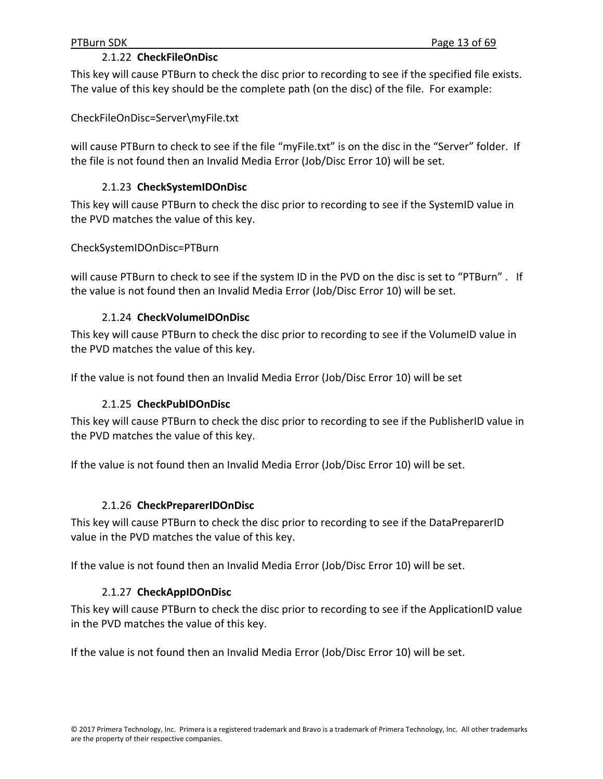## 2.1.22 **CheckFileOnDisc**

This key will cause PTBurn to check the disc prior to recording to see if the specified file exists. The value of this key should be the complete path (on the disc) of the file. For example:

CheckFileOnDisc=Server\myFile.txt

will cause PTBurn to check to see if the file "myFile.txt" is on the disc in the "Server" folder. If the file is not found then an Invalid Media Error (Job/Disc Error 10) will be set.

## 2.1.23 **CheckSystemIDOnDisc**

This key will cause PTBurn to check the disc prior to recording to see if the SystemID value in the PVD matches the value of this key.

CheckSystemIDOnDisc=PTBurn

will cause PTBurn to check to see if the system ID in the PVD on the disc is set to "PTBurn". If the value is not found then an Invalid Media Error (Job/Disc Error 10) will be set.

## 2.1.24 **CheckVolumeIDOnDisc**

This key will cause PTBurn to check the disc prior to recording to see if the VolumeID value in the PVD matches the value of this key.

If the value is not found then an Invalid Media Error (Job/Disc Error 10) will be set

#### 2.1.25 **CheckPubIDOnDisc**

This key will cause PTBurn to check the disc prior to recording to see if the PublisherID value in the PVD matches the value of this key.

If the value is not found then an Invalid Media Error (Job/Disc Error 10) will be set.

#### 2.1.26 **CheckPreparerIDOnDisc**

This key will cause PTBurn to check the disc prior to recording to see if the DataPreparerID value in the PVD matches the value of this key.

If the value is not found then an Invalid Media Error (Job/Disc Error 10) will be set.

## 2.1.27 **CheckAppIDOnDisc**

This key will cause PTBurn to check the disc prior to recording to see if the ApplicationID value in the PVD matches the value of this key.

If the value is not found then an Invalid Media Error (Job/Disc Error 10) will be set.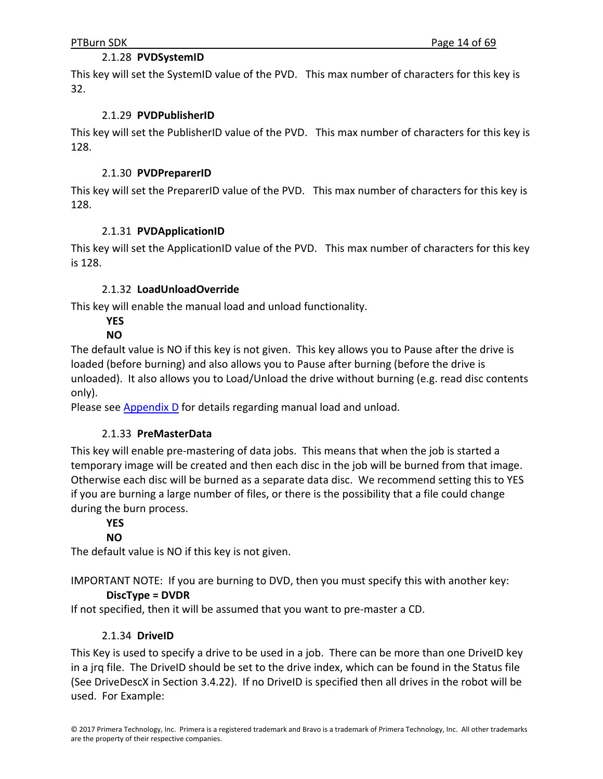## 2.1.28 **PVDSystemID**

This key will set the SystemID value of the PVD. This max number of characters for this key is 32.

## 2.1.29 **PVDPublisherID**

This key will set the PublisherID value of the PVD. This max number of characters for this key is 128.

## 2.1.30 **PVDPreparerID**

This key will set the PreparerID value of the PVD. This max number of characters for this key is 128.

## 2.1.31 **PVDApplicationID**

This key will set the ApplicationID value of the PVD. This max number of characters for this key is 128.

# 2.1.32 **LoadUnloadOverride**

This key will enable the manual load and unload functionality.

#### **YES NO**

The default value is NO if this key is not given. This key allows you to Pause after the drive is loaded (before burning) and also allows you to Pause after burning (before the drive is unloaded). It also allows you to Load/Unload the drive without burning (e.g. read disc contents only).

Please see Appendix D for details regarding manual load and unload.

# 2.1.33 **PreMasterData**

This key will enable pre‐mastering of data jobs. This means that when the job is started a temporary image will be created and then each disc in the job will be burned from that image. Otherwise each disc will be burned as a separate data disc. We recommend setting this to YES if you are burning a large number of files, or there is the possibility that a file could change during the burn process.

# **YES**

## **NO**

The default value is NO if this key is not given.

IMPORTANT NOTE: If you are burning to DVD, then you must specify this with another key:

# **DiscType = DVDR**

If not specified, then it will be assumed that you want to pre‐master a CD.

# 2.1.34 **DriveID**

This Key is used to specify a drive to be used in a job. There can be more than one DriveID key in a jrq file. The DriveID should be set to the drive index, which can be found in the Status file (See DriveDescX in Section 3.4.22). If no DriveID is specified then all drives in the robot will be used. For Example: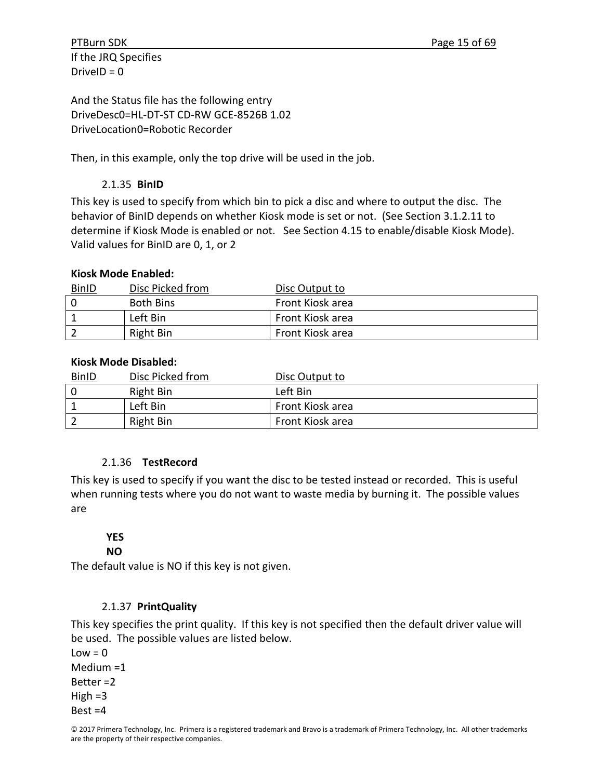If the JRQ Specifies Drive $ID = 0$ 

And the Status file has the following entry DriveDesc0=HL‐DT‐ST CD‐RW GCE‐8526B 1.02 DriveLocation0=Robotic Recorder

Then, in this example, only the top drive will be used in the job.

# 2.1.35 **BinID**

This key is used to specify from which bin to pick a disc and where to output the disc. The behavior of BinID depends on whether Kiosk mode is set or not. (See Section 3.1.2.11 to determine if Kiosk Mode is enabled or not. See Section 4.15 to enable/disable Kiosk Mode). Valid values for BinID are 0, 1, or 2

# **Kiosk Mode Enabled:**

| <b>BinID</b> | Disc Picked from | Disc Output to   |
|--------------|------------------|------------------|
|              | <b>Both Bins</b> | Front Kiosk area |
|              | Left Bin         | Front Kiosk area |
|              | Right Bin        | Front Kiosk area |

# **Kiosk Mode Disabled:**

| <u>BinID</u> | Disc Picked from | Disc Output to   |
|--------------|------------------|------------------|
| - 0          | Right Bin        | Left Bin         |
|              | Left Bin         | Front Kiosk area |
|              | Right Bin        | Front Kiosk area |

# 2.1.36  **TestRecord**

This key is used to specify if you want the disc to be tested instead or recorded. This is useful when running tests where you do not want to waste media by burning it. The possible values are

# **YES**

# **NO**

The default value is NO if this key is not given.

# 2.1.37 **PrintQuality**

This key specifies the print quality. If this key is not specified then the default driver value will be used. The possible values are listed below.

 $Low = 0$ Medium =1 Better =2 High  $=3$ Best =4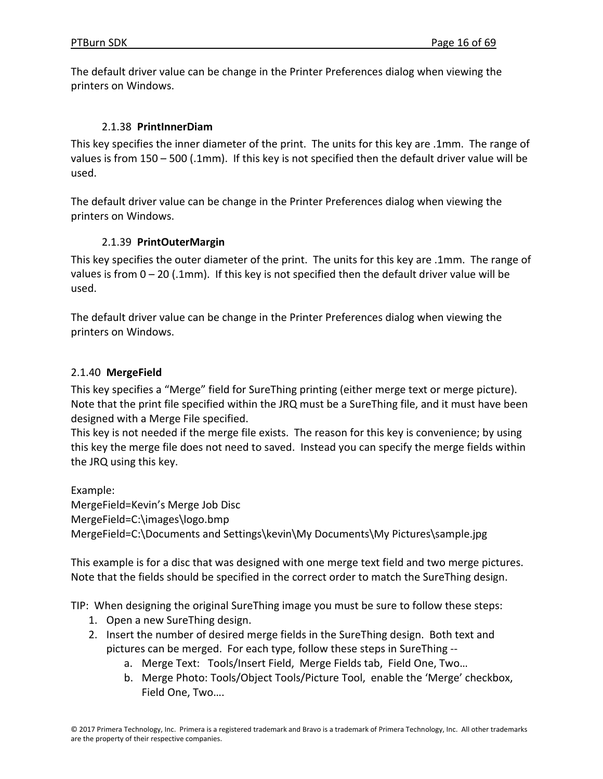The default driver value can be change in the Printer Preferences dialog when viewing the printers on Windows.

## 2.1.38 **PrintInnerDiam**

This key specifies the inner diameter of the print. The units for this key are .1mm. The range of values is from 150 – 500 (.1mm). If this key is not specified then the default driver value will be used.

The default driver value can be change in the Printer Preferences dialog when viewing the printers on Windows.

## 2.1.39 **PrintOuterMargin**

This key specifies the outer diameter of the print. The units for this key are .1mm. The range of values is from  $0 - 20$  (.1mm). If this key is not specified then the default driver value will be used.

The default driver value can be change in the Printer Preferences dialog when viewing the printers on Windows.

## 2.1.40 **MergeField**

This key specifies a "Merge" field for SureThing printing (either merge text or merge picture). Note that the print file specified within the JRQ must be a SureThing file, and it must have been designed with a Merge File specified.

This key is not needed if the merge file exists. The reason for this key is convenience; by using this key the merge file does not need to saved. Instead you can specify the merge fields within the JRQ using this key.

Example: MergeField=Kevin's Merge Job Disc MergeField=C:\images\logo.bmp MergeField=C:\Documents and Settings\kevin\My Documents\My Pictures\sample.jpg

This example is for a disc that was designed with one merge text field and two merge pictures. Note that the fields should be specified in the correct order to match the SureThing design.

TIP: When designing the original SureThing image you must be sure to follow these steps:

- 1. Open a new SureThing design.
- 2. Insert the number of desired merge fields in the SureThing design. Both text and pictures can be merged. For each type, follow these steps in SureThing ‐‐
	- a. Merge Text: Tools/Insert Field, Merge Fields tab, Field One, Two…
	- b. Merge Photo: Tools/Object Tools/Picture Tool, enable the 'Merge' checkbox, Field One, Two….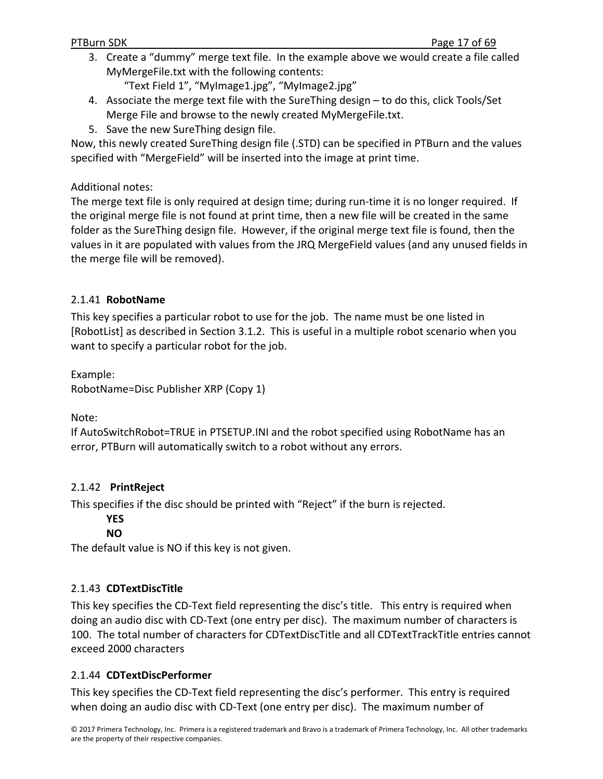3. Create a "dummy" merge text file. In the example above we would create a file called MyMergeFile.txt with the following contents:

"Text Field 1", "MyImage1.jpg", "MyImage2.jpg"

- 4. Associate the merge text file with the SureThing design to do this, click Tools/Set Merge File and browse to the newly created MyMergeFile.txt.
- 5. Save the new SureThing design file.

Now, this newly created SureThing design file (.STD) can be specified in PTBurn and the values specified with "MergeField" will be inserted into the image at print time.

Additional notes:

The merge text file is only required at design time; during run‐time it is no longer required. If the original merge file is not found at print time, then a new file will be created in the same folder as the SureThing design file. However, if the original merge text file is found, then the values in it are populated with values from the JRQ MergeField values (and any unused fields in the merge file will be removed).

# 2.1.41 **RobotName**

This key specifies a particular robot to use for the job. The name must be one listed in [RobotList] as described in Section 3.1.2. This is useful in a multiple robot scenario when you want to specify a particular robot for the job.

Example:

RobotName=Disc Publisher XRP (Copy 1)

Note:

If AutoSwitchRobot=TRUE in PTSETUP.INI and the robot specified using RobotName has an error, PTBurn will automatically switch to a robot without any errors.

# 2.1.42 **PrintReject**

This specifies if the disc should be printed with "Reject" if the burn is rejected.

**YES**

**NO**

The default value is NO if this key is not given.

# 2.1.43 **CDTextDiscTitle**

This key specifies the CD-Text field representing the disc's title. This entry is required when doing an audio disc with CD‐Text (one entry per disc). The maximum number of characters is 100. The total number of characters for CDTextDiscTitle and all CDTextTrackTitle entries cannot exceed 2000 characters

# 2.1.44 **CDTextDiscPerformer**

This key specifies the CD‐Text field representing the disc's performer. This entry is required when doing an audio disc with CD-Text (one entry per disc). The maximum number of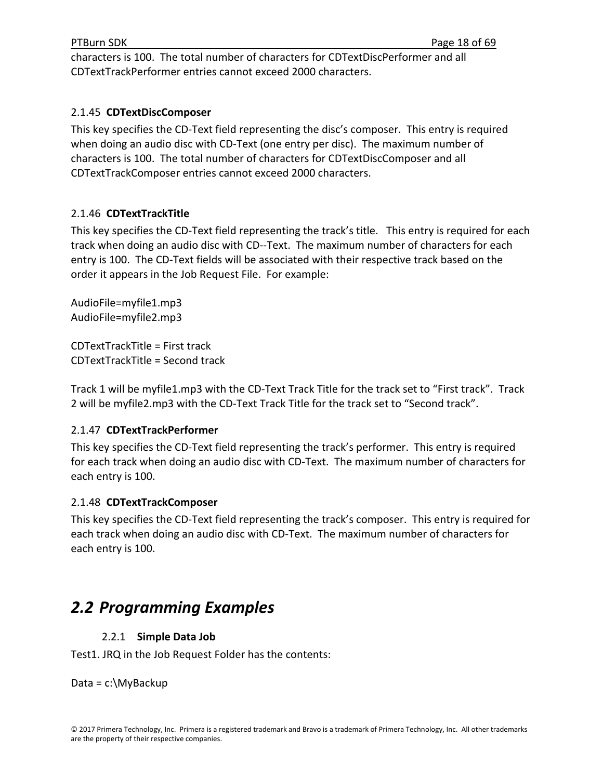characters is 100. The total number of characters for CDTextDiscPerformer and all CDTextTrackPerformer entries cannot exceed 2000 characters.

## 2.1.45 **CDTextDiscComposer**

This key specifies the CD‐Text field representing the disc's composer. This entry is required when doing an audio disc with CD-Text (one entry per disc). The maximum number of characters is 100. The total number of characters for CDTextDiscComposer and all CDTextTrackComposer entries cannot exceed 2000 characters.

# 2.1.46 **CDTextTrackTitle**

This key specifies the CD‐Text field representing the track's title. This entry is required for each track when doing an audio disc with CD‐‐Text. The maximum number of characters for each entry is 100. The CD‐Text fields will be associated with their respective track based on the order it appears in the Job Request File. For example:

AudioFile=myfile1.mp3 AudioFile=myfile2.mp3

CDTextTrackTitle = First track CDTextTrackTitle = Second track

Track 1 will be myfile1.mp3 with the CD‐Text Track Title for the track set to "First track". Track 2 will be myfile2.mp3 with the CD‐Text Track Title for the track set to "Second track".

# 2.1.47 **CDTextTrackPerformer**

This key specifies the CD‐Text field representing the track's performer. This entry is required for each track when doing an audio disc with CD‐Text. The maximum number of characters for each entry is 100.

## 2.1.48 **CDTextTrackComposer**

This key specifies the CD‐Text field representing the track's composer. This entry is required for each track when doing an audio disc with CD‐Text. The maximum number of characters for each entry is 100.

# *2.2 Programming Examples*

# 2.2.1 **Simple Data Job**

Test1. JRQ in the Job Request Folder has the contents:

Data = c:\MyBackup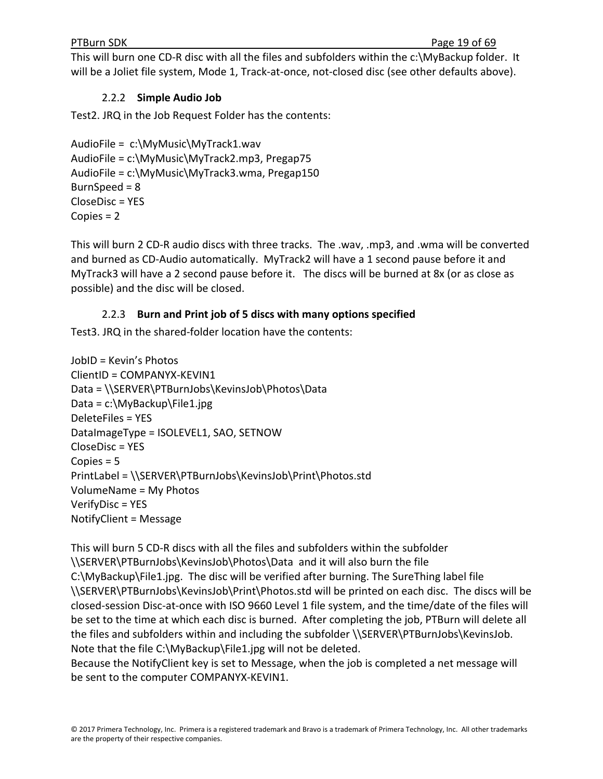This will burn one CD-R disc with all the files and subfolders within the c:\MyBackup folder. It will be a Joliet file system, Mode 1, Track-at-once, not-closed disc (see other defaults above).

# 2.2.2 **Simple Audio Job**

Test2. JRQ in the Job Request Folder has the contents:

```
AudioFile =  c:\MyMusic\MyTrack1.wav
AudioFile = c:\MyMusic\MyTrack2.mp3, Pregap75
AudioFile = c:\MyMusic\MyTrack3.wma, Pregap150
BurnSpeed = 8
CloseDisc = YES
Copies = 2
```
This will burn 2 CD‐R audio discs with three tracks. The .wav, .mp3, and .wma will be converted and burned as CD‐Audio automatically. MyTrack2 will have a 1 second pause before it and MyTrack3 will have a 2 second pause before it. The discs will be burned at 8x (or as close as possible) and the disc will be closed.

# 2.2.3 **Burn and Print job of 5 discs with many options specified**

Test3. JRQ in the shared‐folder location have the contents:

```
JobID = Kevin's Photos
ClientID = COMPANYX‐KEVIN1
Data = \\SERVER\PTBurnJobs\KevinsJob\Photos\Data
Data = c:\MyBackup\File1.jpg
DeleteFiles = YES
DataImageType = ISOLEVEL1, SAO, SETNOW
CloseDisc = YES
Copies = 5
PrintLabel = \\SERVER\PTBurnJobs\KevinsJob\Print\Photos.std
VolumeName = My Photos
VerifyDisc = YES
NotifyClient = Message
```
This will burn 5 CD‐R discs with all the files and subfolders within the subfolder \\SERVER\PTBurnJobs\KevinsJob\Photos\Data and it will also burn the file C:\MyBackup\File1.jpg. The disc will be verified after burning. The SureThing label file \\SERVER\PTBurnJobs\KevinsJob\Print\Photos.std will be printed on each disc. The discs will be closed‐session Disc‐at‐once with ISO 9660 Level 1 file system, and the time/date of the files will be set to the time at which each disc is burned. After completing the job, PTBurn will delete all the files and subfolders within and including the subfolder \\SERVER\PTBurnJobs\KevinsJob. Note that the file C:\MyBackup\File1.jpg will not be deleted.

Because the NotifyClient key is set to Message, when the job is completed a net message will be sent to the computer COMPANYX‐KEVIN1.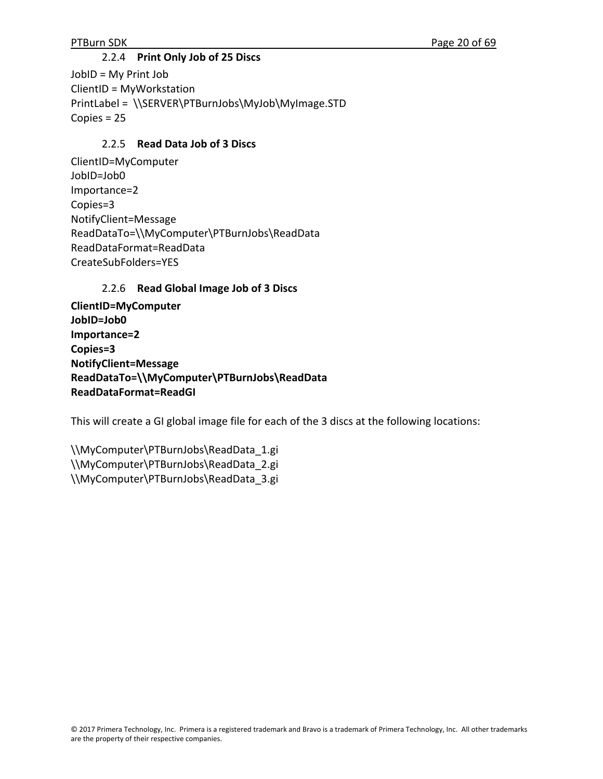## 2.2.4 **Print Only Job of 25 Discs**

JobID = My Print Job ClientID = MyWorkstation PrintLabel = \\SERVER\PTBurnJobs\MyJob\MyImage.STD Copies = 25

## 2.2.5 **Read Data Job of 3 Discs**

ClientID=MyComputer JobID=Job0 Importance=2 Copies=3 NotifyClient=Message ReadDataTo=\\MyComputer\PTBurnJobs\ReadData ReadDataFormat=ReadData CreateSubFolders=YES

## 2.2.6 **Read Global Image Job of 3 Discs**

**ClientID=MyComputer JobID=Job0 Importance=2 Copies=3 NotifyClient=Message ReadDataTo=\\MyComputer\PTBurnJobs\ReadData ReadDataFormat=ReadGI**

This will create a GI global image file for each of the 3 discs at the following locations:

\\MyComputer\PTBurnJobs\ReadData\_1.gi \\MyComputer\PTBurnJobs\ReadData\_2.gi \\MyComputer\PTBurnJobs\ReadData\_3.gi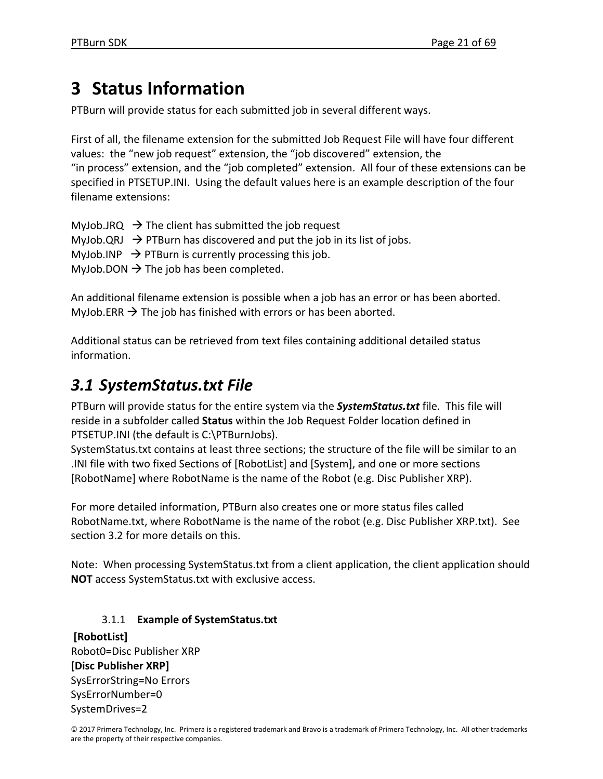# **3 Status Information**

PTBurn will provide status for each submitted job in several different ways.

First of all, the filename extension for the submitted Job Request File will have four different values: the "new job request" extension, the "job discovered" extension, the "in process" extension, and the "job completed" extension. All four of these extensions can be specified in PTSETUP.INI. Using the default values here is an example description of the four filename extensions:

MyJob.JRQ  $\rightarrow$  The client has submitted the job request MyJob.QRJ  $\rightarrow$  PTBurn has discovered and put the job in its list of jobs. MyJob.INP  $\rightarrow$  PTBurn is currently processing this job. MyJob.DON  $\rightarrow$  The job has been completed.

An additional filename extension is possible when a job has an error or has been aborted. MyJob.ERR  $\rightarrow$  The job has finished with errors or has been aborted.

Additional status can be retrieved from text files containing additional detailed status information.

# *3.1 SystemStatus.txt File*

PTBurn will provide status for the entire system via the *SystemStatus.txt* file. This file will reside in a subfolder called **Status** within the Job Request Folder location defined in PTSETUP.INI (the default is C:\PTBurnJobs).

SystemStatus.txt contains at least three sections; the structure of the file will be similar to an .INI file with two fixed Sections of [RobotList] and [System], and one or more sections [RobotName] where RobotName is the name of the Robot (e.g. Disc Publisher XRP).

For more detailed information, PTBurn also creates one or more status files called RobotName.txt, where RobotName is the name of the robot (e.g. Disc Publisher XRP.txt). See section 3.2 for more details on this.

Note: When processing SystemStatus.txt from a client application, the client application should **NOT** access SystemStatus.txt with exclusive access.

# 3.1.1 **Example of SystemStatus.txt**

**[RobotList]** Robot0=Disc Publisher XRP **[Disc Publisher XRP]** SysErrorString=No Errors SysErrorNumber=0 SystemDrives=2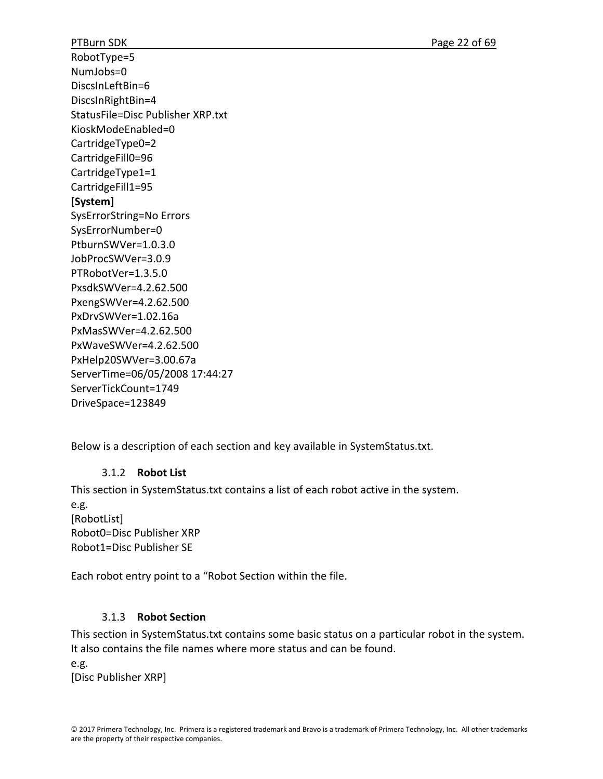RobotType=5 NumJobs=0 DiscsInLeftBin=6 DiscsInRightBin=4 StatusFile=Disc Publisher XRP.txt KioskModeEnabled=0 CartridgeType0=2 CartridgeFill0=96 CartridgeType1=1 CartridgeFill1=95 **[System]** SysErrorString=No Errors SysErrorNumber=0 PtburnSWVer=1.0.3.0 JobProcSWVer=3.0.9 PTRobotVer=1.3.5.0 PxsdkSWVer=4.2.62.500 PxengSWVer=4.2.62.500 PxDrvSWVer=1.02.16a PxMasSWVer=4.2.62.500 PxWaveSWVer=4.2.62.500 PxHelp20SWVer=3.00.67a ServerTime=06/05/2008 17:44:27 ServerTickCount=1749 DriveSpace=123849

Below is a description of each section and key available in SystemStatus.txt.

# 3.1.2 **Robot List**

This section in SystemStatus.txt contains a list of each robot active in the system. e.g. [RobotList] Robot0=Disc Publisher XRP Robot1=Disc Publisher SE

Each robot entry point to a "Robot Section within the file.

# 3.1.3 **Robot Section**

This section in SystemStatus.txt contains some basic status on a particular robot in the system. It also contains the file names where more status and can be found.

e.g. [Disc Publisher XRP]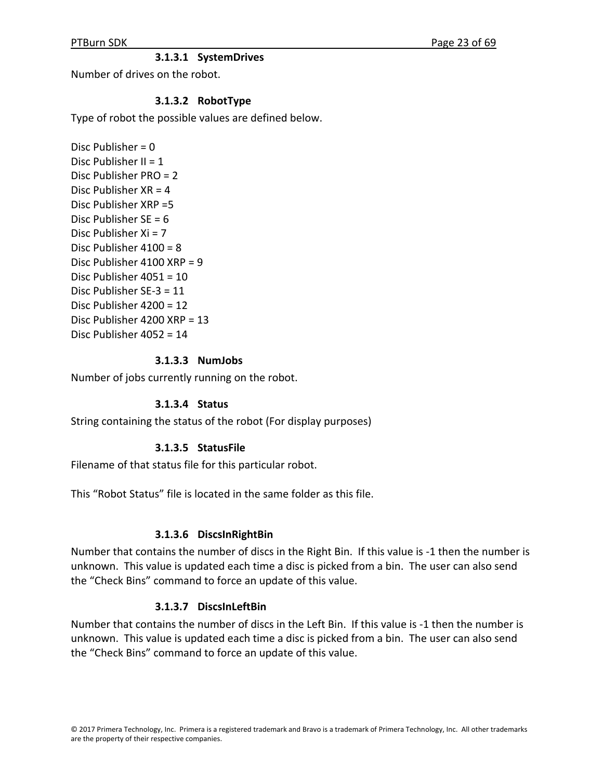## **3.1.3.1 SystemDrives**

Number of drives on the robot.

#### **3.1.3.2 RobotType**

Type of robot the possible values are defined below.

Disc Publisher = 0 Disc Publisher II =  $1$ Disc Publisher PRO = 2 Disc Publisher  $XR = 4$ Disc Publisher XRP =5 Disc Publisher  $SF = 6$ Disc Publisher Xi = 7 Disc Publisher 4100 = 8 Disc Publisher 4100 XRP = 9 Disc Publisher 4051 = 10 Disc Publisher SE‐3 = 11 Disc Publisher 4200 = 12 Disc Publisher 4200 XRP = 13 Disc Publisher 4052 = 14

#### **3.1.3.3 NumJobs**

Number of jobs currently running on the robot.

#### **3.1.3.4 Status**

String containing the status of the robot (For display purposes)

#### **3.1.3.5 StatusFile**

Filename of that status file for this particular robot.

This "Robot Status" file is located in the same folder as this file.

#### **3.1.3.6 DiscsInRightBin**

Number that contains the number of discs in the Right Bin. If this value is ‐1 then the number is unknown. This value is updated each time a disc is picked from a bin. The user can also send the "Check Bins" command to force an update of this value.

#### **3.1.3.7 DiscsInLeftBin**

Number that contains the number of discs in the Left Bin. If this value is ‐1 then the number is unknown. This value is updated each time a disc is picked from a bin. The user can also send the "Check Bins" command to force an update of this value.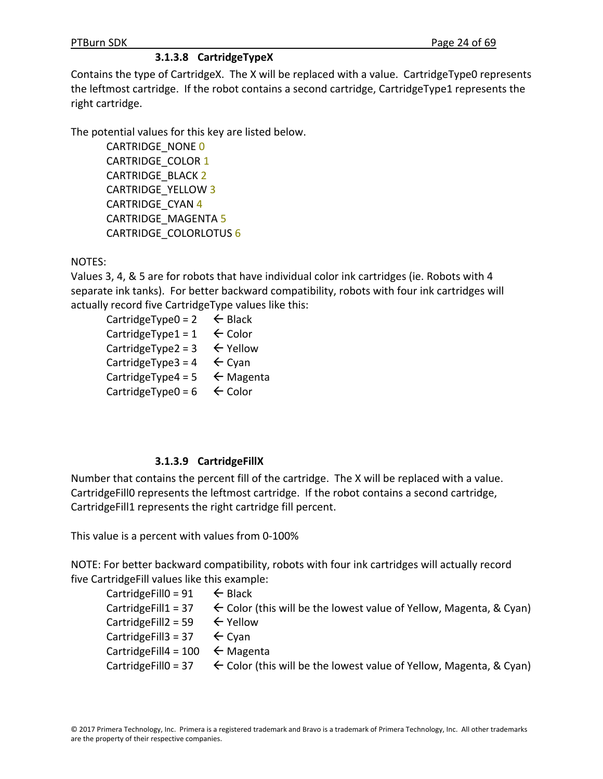# **3.1.3.8 CartridgeTypeX**

Contains the type of CartridgeX. The X will be replaced with a value. CartridgeType0 represents the leftmost cartridge. If the robot contains a second cartridge, CartridgeType1 represents the right cartridge.

The potential values for this key are listed below.

CARTRIDGE\_NONE 0 CARTRIDGE\_COLOR 1 CARTRIDGE\_BLACK 2 CARTRIDGE\_YELLOW 3 CARTRIDGE\_CYAN 4 CARTRIDGE\_MAGENTA 5 CARTRIDGE\_COLORLOTUS 6

# NOTES:

Values 3, 4, & 5 are for robots that have individual color ink cartridges (ie. Robots with 4 separate ink tanks). For better backward compatibility, robots with four ink cartridges will actually record five CartridgeType values like this:

CartridgeType0 =  $2 \leftarrow$  Black CartridgeType1 =  $1 \leftarrow$  Color CartridgeType2 =  $3 \leftarrow$  Yellow CartridgeType3 =  $4 \leftarrow$  Cyan CartridgeType4 =  $5 \leftarrow$  Magenta CartridgeType0 =  $6 \leftarrow$  Color

# **3.1.3.9 CartridgeFillX**

Number that contains the percent fill of the cartridge. The X will be replaced with a value. CartridgeFill0 represents the leftmost cartridge. If the robot contains a second cartridge, CartridgeFill1 represents the right cartridge fill percent.

This value is a percent with values from 0‐100%

NOTE: For better backward compatibility, robots with four ink cartridges will actually record five CartridgeFill values like this example:

| Cartridge Fill 0 = 91 $\leftarrow$ Black    |                                                                                                       |
|---------------------------------------------|-------------------------------------------------------------------------------------------------------|
|                                             | Cartridge Fill $1 = 37$ $\leftarrow$ Color (this will be the lowest value of Yellow, Magenta, & Cyan) |
| Cartridge Fill $2 = 59$ $\leftarrow$ Yellow |                                                                                                       |
| Cartridge Fill 3 = 37 $\leftarrow$ Cyan     |                                                                                                       |
| Cartridge Fill 4 = 100 $\leftarrow$ Magenta |                                                                                                       |
|                                             | Cartridge Fillo = 37 $\leftarrow$ Color (this will be the lowest value of Yellow, Magenta, & Cyan)    |
|                                             |                                                                                                       |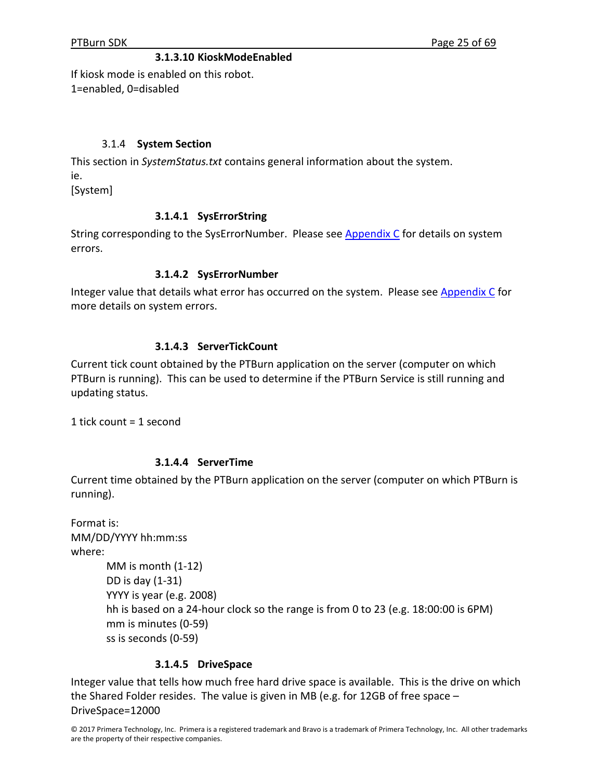#### **3.1.3.10 KioskModeEnabled**

If kiosk mode is enabled on this robot. 1=enabled, 0=disabled

#### 3.1.4 **System Section**

This section in *SystemStatus.txt* contains general information about the system. ie. [System]

**3.1.4.1 SysErrorString**

String corresponding to the SysErrorNumber. Please see **Appendix C** for details on system errors.

#### **3.1.4.2 SysErrorNumber**

Integer value that details what error has occurred on the system. Please see Appendix C for more details on system errors.

#### **3.1.4.3 ServerTickCount**

Current tick count obtained by the PTBurn application on the server (computer on which PTBurn is running). This can be used to determine if the PTBurn Service is still running and updating status.

1 tick count = 1 second

#### **3.1.4.4 ServerTime**

Current time obtained by the PTBurn application on the server (computer on which PTBurn is running).

| Format is: |                                                                                    |
|------------|------------------------------------------------------------------------------------|
|            | MM/DD/YYYY hh:mm:ss                                                                |
| where:     |                                                                                    |
|            | MM is month $(1-12)$                                                               |
|            | DD is day (1-31)                                                                   |
|            | YYYY is year (e.g. 2008)                                                           |
|            | hh is based on a 24-hour clock so the range is from 0 to 23 (e.g. 18:00:00 is 6PM) |
|            | mm is minutes (0-59)                                                               |
|            | ss is seconds (0-59)                                                               |

#### **3.1.4.5 DriveSpace**

Integer value that tells how much free hard drive space is available. This is the drive on which the Shared Folder resides. The value is given in MB (e.g. for 12GB of free space – DriveSpace=12000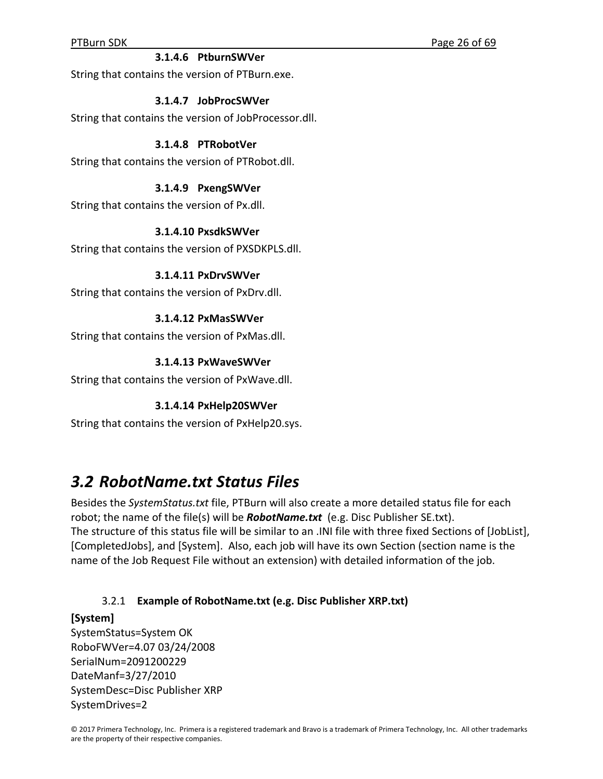#### **3.1.4.6 PtburnSWVer**

String that contains the version of PTBurn.exe.

#### **3.1.4.7 JobProcSWVer**

String that contains the version of JobProcessor.dll.

#### **3.1.4.8 PTRobotVer**

String that contains the version of PTRobot.dll.

#### **3.1.4.9 PxengSWVer**

String that contains the version of Px.dll.

#### **3.1.4.10 PxsdkSWVer**

String that contains the version of PXSDKPLS.dll.

#### **3.1.4.11 PxDrvSWVer**

String that contains the version of PxDrv.dll.

#### **3.1.4.12 PxMasSWVer**

String that contains the version of PxMas.dll.

#### **3.1.4.13 PxWaveSWVer**

String that contains the version of PxWave.dll.

#### **3.1.4.14 PxHelp20SWVer**

String that contains the version of PxHelp20.sys.

# *3.2 RobotName.txt Status Files*

Besides the *SystemStatus.txt* file, PTBurn will also create a more detailed status file for each robot; the name of the file(s) will be *RobotName.txt* (e.g. Disc Publisher SE.txt). The structure of this status file will be similar to an .INI file with three fixed Sections of [JobList], [CompletedJobs], and [System]. Also, each job will have its own Section (section name is the name of the Job Request File without an extension) with detailed information of the job.

## 3.2.1 **Example of RobotName.txt (e.g. Disc Publisher XRP.txt)**

#### **[System]**

SystemStatus=System OK RoboFWVer=4.07 03/24/2008 SerialNum=2091200229 DateManf=3/27/2010 SystemDesc=Disc Publisher XRP SystemDrives=2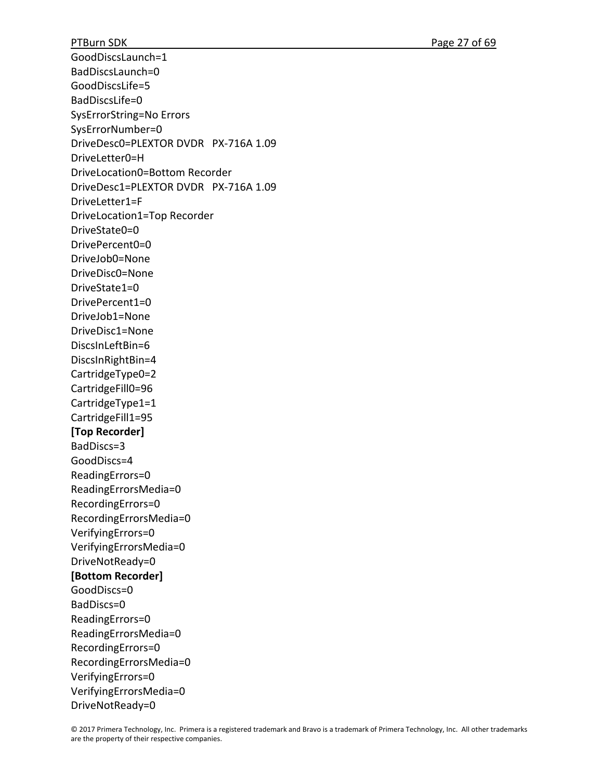GoodDiscsLaunch=1 BadDiscsLaunch=0 GoodDiscsLife=5 BadDiscsLife=0 SysErrorString=No Errors SysErrorNumber=0 DriveDesc0=PLEXTOR DVDR PX‐716A 1.09 DriveLetter0=H DriveLocation0=Bottom Recorder DriveDesc1=PLEXTOR DVDR PX‐716A 1.09 DriveLetter1=F DriveLocation1=Top Recorder DriveState0=0 DrivePercent0=0 DriveJob0=None DriveDisc0=None DriveState1=0 DrivePercent1=0 DriveJob1=None DriveDisc1=None DiscsInLeftBin=6 DiscsInRightBin=4 CartridgeType0=2 CartridgeFill0=96 CartridgeType1=1 CartridgeFill1=95 **[Top Recorder]** BadDiscs=3 GoodDiscs=4 ReadingErrors=0 ReadingErrorsMedia=0 RecordingErrors=0 RecordingErrorsMedia=0 VerifyingErrors=0 VerifyingErrorsMedia=0 DriveNotReady=0 **[Bottom Recorder]** GoodDiscs=0 BadDiscs=0 ReadingErrors=0 ReadingErrorsMedia=0 RecordingErrors=0 RecordingErrorsMedia=0 VerifyingErrors=0 VerifyingErrorsMedia=0 DriveNotReady=0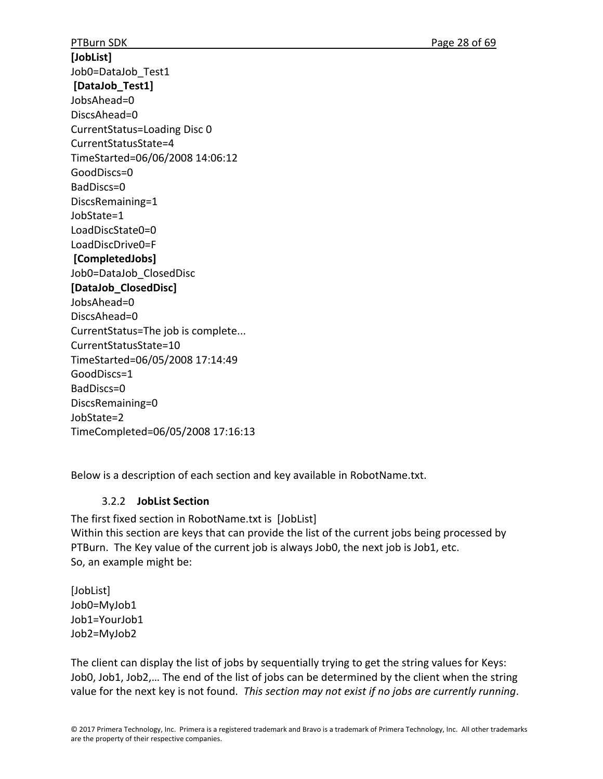PTBurn SDK **DESIGNATION** PRESERVE THE PAGE 28 of 69 **[JobList]** Job0=DataJob\_Test1 **[DataJob\_Test1]** JobsAhead=0 DiscsAhead=0 CurrentStatus=Loading Disc 0 CurrentStatusState=4 TimeStarted=06/06/2008 14:06:12 GoodDiscs=0 BadDiscs=0 DiscsRemaining=1 JobState=1 LoadDiscState0=0 LoadDiscDrive0=F **[CompletedJobs]** Job0=DataJob\_ClosedDisc **[DataJob\_ClosedDisc]** JobsAhead=0 DiscsAhead=0 CurrentStatus=The job is complete... CurrentStatusState=10 TimeStarted=06/05/2008 17:14:49 GoodDiscs=1 BadDiscs=0 DiscsRemaining=0 JobState=2 TimeCompleted=06/05/2008 17:16:13

Below is a description of each section and key available in RobotName.txt.

# 3.2.2 **JobList Section**

The first fixed section in RobotName.txt is [JobList] Within this section are keys that can provide the list of the current jobs being processed by PTBurn. The Key value of the current job is always Job0, the next job is Job1, etc. So, an example might be:

[JobList] Job0=MyJob1 Job1=YourJob1 Job2=MyJob2

The client can display the list of jobs by sequentially trying to get the string values for Keys: Job0, Job1, Job2,… The end of the list of jobs can be determined by the client when the string value for the next key is not found. *This section may not exist if no jobs are currently running*.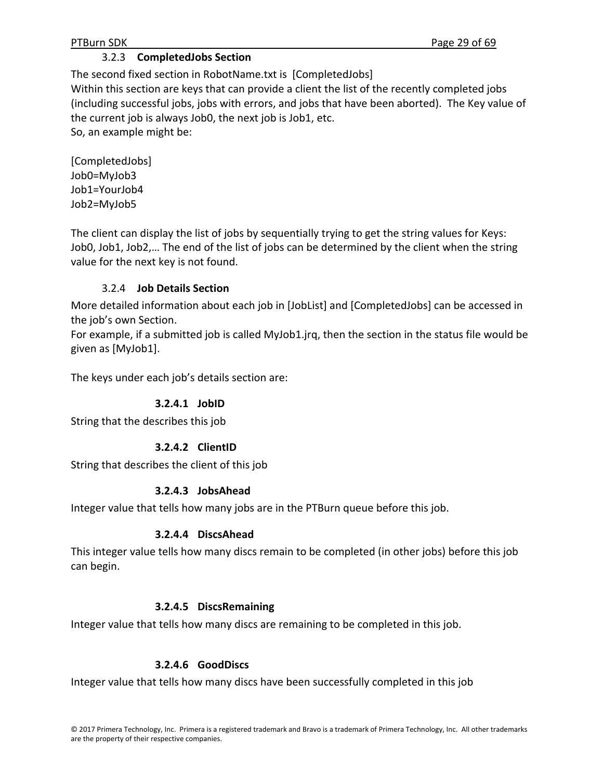## 3.2.3 **CompletedJobs Section**

The second fixed section in RobotName.txt is [CompletedJobs] Within this section are keys that can provide a client the list of the recently completed jobs (including successful jobs, jobs with errors, and jobs that have been aborted). The Key value of the current job is always Job0, the next job is Job1, etc. So, an example might be:

[CompletedJobs] Job0=MyJob3 Job1=YourJob4 Job2=MyJob5

The client can display the list of jobs by sequentially trying to get the string values for Keys: Job0, Job1, Job2,… The end of the list of jobs can be determined by the client when the string value for the next key is not found.

## 3.2.4 **Job Details Section**

More detailed information about each job in [JobList] and [CompletedJobs] can be accessed in the job's own Section.

For example, if a submitted job is called MyJob1.jrq, then the section in the status file would be given as [MyJob1].

The keys under each job's details section are:

# **3.2.4.1 JobID**

String that the describes this job

# **3.2.4.2 ClientID**

String that describes the client of this job

## **3.2.4.3 JobsAhead**

Integer value that tells how many jobs are in the PTBurn queue before this job.

## **3.2.4.4 DiscsAhead**

This integer value tells how many discs remain to be completed (in other jobs) before this job can begin.

## **3.2.4.5 DiscsRemaining**

Integer value that tells how many discs are remaining to be completed in this job.

## **3.2.4.6 GoodDiscs**

Integer value that tells how many discs have been successfully completed in this job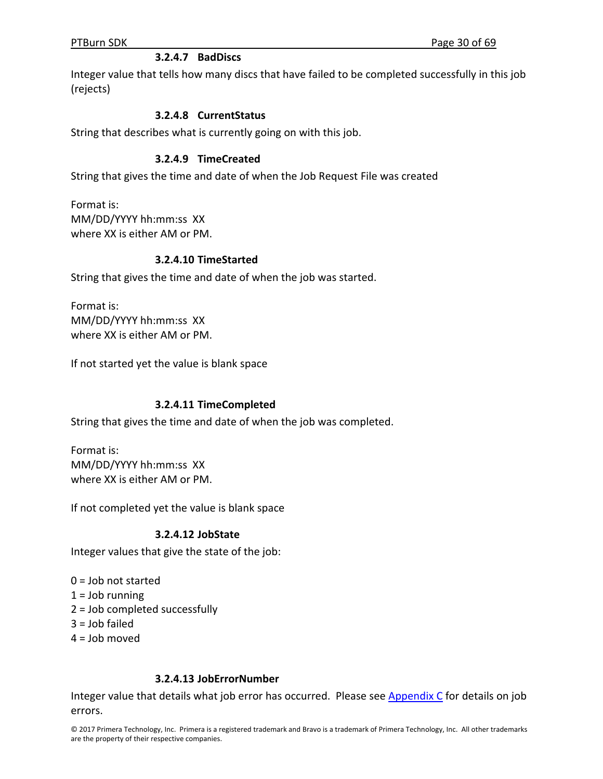## **3.2.4.7 BadDiscs**

Integer value that tells how many discs that have failed to be completed successfully in this job (rejects)

#### **3.2.4.8 CurrentStatus**

String that describes what is currently going on with this job.

#### **3.2.4.9 TimeCreated**

String that gives the time and date of when the Job Request File was created

Format is: MM/DD/YYYY hh:mm:ss XX where XX is either AM or PM.

#### **3.2.4.10 TimeStarted**

String that gives the time and date of when the job was started.

Format is: MM/DD/YYYY hh:mm:ss XX where XX is either AM or PM.

If not started yet the value is blank space

#### **3.2.4.11 TimeCompleted**

String that gives the time and date of when the job was completed.

Format is: MM/DD/YYYY hh:mm:ss XX where XX is either AM or PM.

If not completed yet the value is blank space

#### **3.2.4.12 JobState**

Integer values that give the state of the job:

- 0 = Job not started
- $1 =$  Job running
- 2 = Job completed successfully
- $3 =$  Job failed
- 4 = Job moved

#### **3.2.4.13 JobErrorNumber**

Integer value that details what job error has occurred. Please see Appendix  $C$  for details on job errors.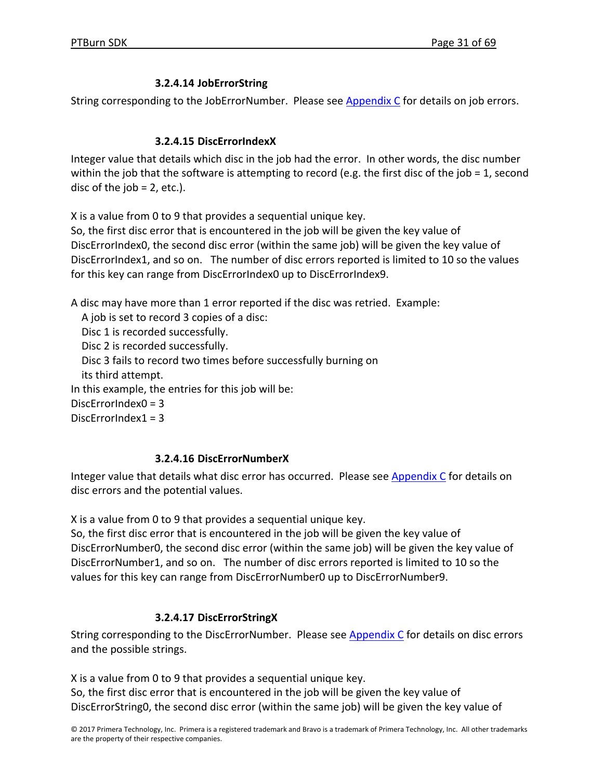# **3.2.4.14 JobErrorString**

String corresponding to the JobErrorNumber. Please see Appendix C for details on job errors.

## **3.2.4.15 DiscErrorIndexX**

Integer value that details which disc in the job had the error. In other words, the disc number within the job that the software is attempting to record (e.g. the first disc of the job = 1, second disc of the job  $= 2$ , etc.).

X is a value from 0 to 9 that provides a sequential unique key.

So, the first disc error that is encountered in the job will be given the key value of DiscErrorIndex0, the second disc error (within the same job) will be given the key value of DiscErrorIndex1, and so on. The number of disc errors reported is limited to 10 so the values for this key can range from DiscErrorIndex0 up to DiscErrorIndex9.

A disc may have more than 1 error reported if the disc was retried. Example:

A job is set to record 3 copies of a disc:

Disc 1 is recorded successfully.

Disc 2 is recorded successfully.

Disc 3 fails to record two times before successfully burning on

its third attempt.

In this example, the entries for this job will be:

DiscErrorIndex0 = 3

Disc $ErrorIndex1 = 3$ 

# **3.2.4.16 DiscErrorNumberX**

Integer value that details what disc error has occurred. Please see Appendix C for details on disc errors and the potential values.

X is a value from 0 to 9 that provides a sequential unique key.

So, the first disc error that is encountered in the job will be given the key value of DiscErrorNumber0, the second disc error (within the same job) will be given the key value of DiscErrorNumber1, and so on. The number of disc errors reported is limited to 10 so the values for this key can range from DiscErrorNumber0 up to DiscErrorNumber9.

# **3.2.4.17 DiscErrorStringX**

String corresponding to the DiscErrorNumber. Please see  $Appendix C$  for details on disc errors and the possible strings.

X is a value from 0 to 9 that provides a sequential unique key.

So, the first disc error that is encountered in the job will be given the key value of DiscErrorString0, the second disc error (within the same job) will be given the key value of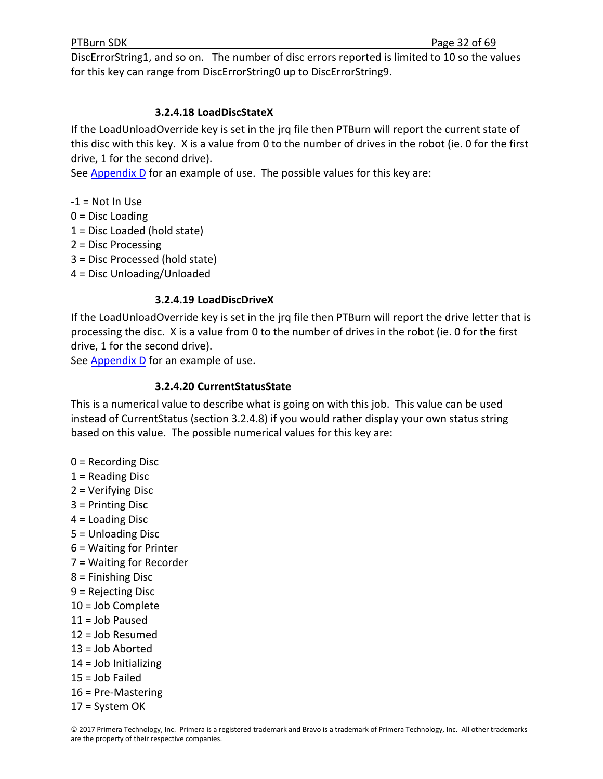DiscErrorString1, and so on. The number of disc errors reported is limited to 10 so the values for this key can range from DiscErrorString0 up to DiscErrorString9.

## **3.2.4.18 LoadDiscStateX**

If the LoadUnloadOverride key is set in the jrq file then PTBurn will report the current state of this disc with this key. X is a value from 0 to the number of drives in the robot (ie. 0 for the first drive, 1 for the second drive).

See Appendix D for an example of use. The possible values for this key are:

 $-1$  = Not In Use

- 0 = Disc Loading
- 1 = Disc Loaded (hold state)
- 2 = Disc Processing

3 = Disc Processed (hold state)

4 = Disc Unloading/Unloaded

## **3.2.4.19 LoadDiscDriveX**

If the LoadUnloadOverride key is set in the jrq file then PTBurn will report the drive letter that is processing the disc. X is a value from 0 to the number of drives in the robot (ie. 0 for the first drive, 1 for the second drive).

See  $\Delta$ ppendix D</u> for an example of use.

## **3.2.4.20 CurrentStatusState**

This is a numerical value to describe what is going on with this job. This value can be used instead of CurrentStatus (section 3.2.4.8) if you would rather display your own status string based on this value. The possible numerical values for this key are:

- 0 = Recording Disc
- 1 = Reading Disc
- 2 = Verifying Disc
- 3 = Printing Disc
- 4 = Loading Disc
- 5 = Unloading Disc
- 6 = Waiting for Printer
- 7 = Waiting for Recorder
- 8 = Finishing Disc
- 9 = Rejecting Disc
- 10 = Job Complete
- 11 = Job Paused
- 12 = Job Resumed
- 13 = Job Aborted
- 14 = Job Initializing
- 15 = Job Failed
- 16 = Pre‐Mastering
- 17 = System OK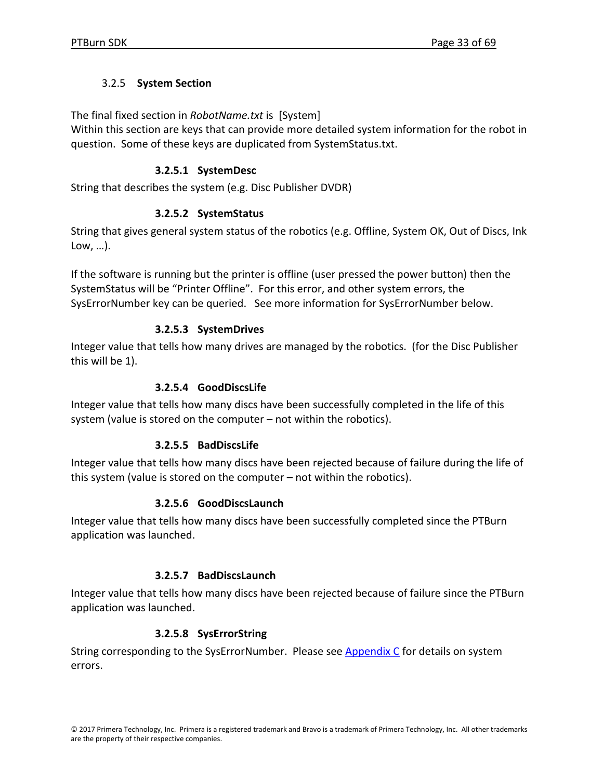# 3.2.5 **System Section**

The final fixed section in *RobotName.txt* is [System]

Within this section are keys that can provide more detailed system information for the robot in question. Some of these keys are duplicated from SystemStatus.txt.

# **3.2.5.1 SystemDesc**

String that describes the system (e.g. Disc Publisher DVDR)

# **3.2.5.2 SystemStatus**

String that gives general system status of the robotics (e.g. Offline, System OK, Out of Discs, Ink Low, …).

If the software is running but the printer is offline (user pressed the power button) then the SystemStatus will be "Printer Offline". For this error, and other system errors, the SysErrorNumber key can be queried. See more information for SysErrorNumber below.

# **3.2.5.3 SystemDrives**

Integer value that tells how many drives are managed by the robotics. (for the Disc Publisher this will be 1).

# **3.2.5.4 GoodDiscsLife**

Integer value that tells how many discs have been successfully completed in the life of this system (value is stored on the computer – not within the robotics).

# **3.2.5.5 BadDiscsLife**

Integer value that tells how many discs have been rejected because of failure during the life of this system (value is stored on the computer – not within the robotics).

# **3.2.5.6 GoodDiscsLaunch**

Integer value that tells how many discs have been successfully completed since the PTBurn application was launched.

# **3.2.5.7 BadDiscsLaunch**

Integer value that tells how many discs have been rejected because of failure since the PTBurn application was launched.

# **3.2.5.8 SysErrorString**

String corresponding to the SysErrorNumber. Please see Appendix C for details on system errors.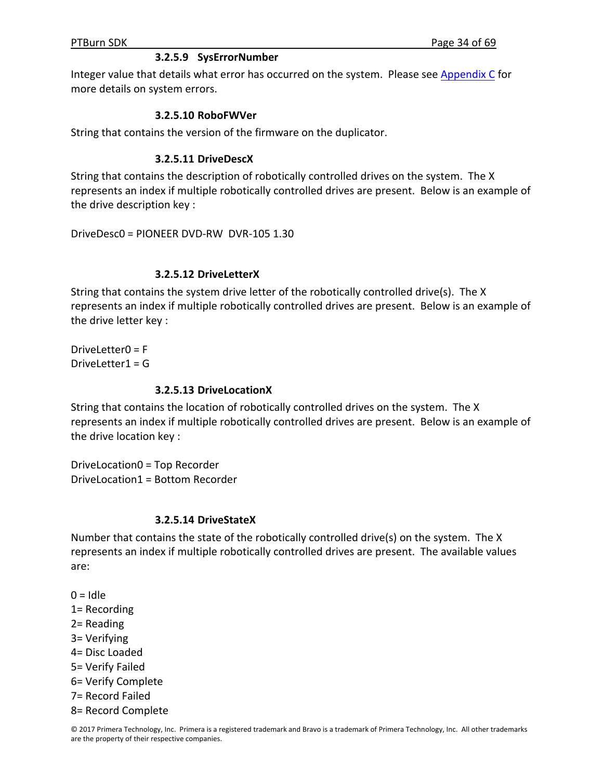#### **3.2.5.9 SysErrorNumber**

Integer value that details what error has occurred on the system. Please see Appendix C for more details on system errors.

#### **3.2.5.10 RoboFWVer**

String that contains the version of the firmware on the duplicator.

#### **3.2.5.11 DriveDescX**

String that contains the description of robotically controlled drives on the system. The X represents an index if multiple robotically controlled drives are present. Below is an example of the drive description key :

DriveDesc0 = PIONEER DVD‐RW DVR‐105 1.30

#### **3.2.5.12 DriveLetterX**

String that contains the system drive letter of the robotically controlled drive(s). The X represents an index if multiple robotically controlled drives are present. Below is an example of the drive letter key :

DriveLetter0 = F DriveLetter1 = G

#### **3.2.5.13 DriveLocationX**

String that contains the location of robotically controlled drives on the system. The X represents an index if multiple robotically controlled drives are present. Below is an example of the drive location key :

DriveLocation0 = Top Recorder DriveLocation1 = Bottom Recorder

#### **3.2.5.14 DriveStateX**

Number that contains the state of the robotically controlled drive(s) on the system. The X represents an index if multiple robotically controlled drives are present. The available values are:

 $0 =$ Idle

- 1= Recording
- 2= Reading
- 3= Verifying
- 4= Disc Loaded
- 5= Verify Failed
- 6= Verify Complete
- 7= Record Failed
- 8= Record Complete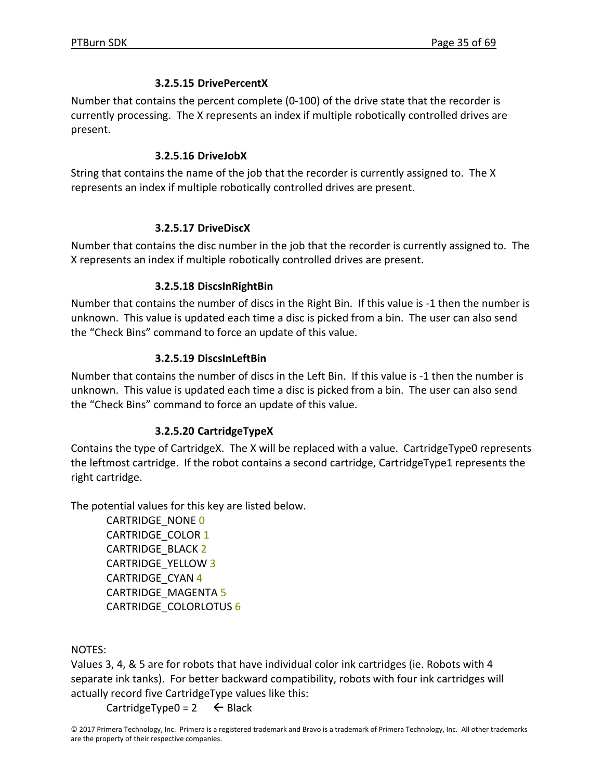## **3.2.5.15 DrivePercentX**

Number that contains the percent complete (0‐100) of the drive state that the recorder is currently processing. The X represents an index if multiple robotically controlled drives are present.

## **3.2.5.16 DriveJobX**

String that contains the name of the job that the recorder is currently assigned to. The X represents an index if multiple robotically controlled drives are present.

# **3.2.5.17 DriveDiscX**

Number that contains the disc number in the job that the recorder is currently assigned to. The X represents an index if multiple robotically controlled drives are present.

## **3.2.5.18 DiscsInRightBin**

Number that contains the number of discs in the Right Bin. If this value is ‐1 then the number is unknown. This value is updated each time a disc is picked from a bin. The user can also send the "Check Bins" command to force an update of this value.

# **3.2.5.19 DiscsInLeftBin**

Number that contains the number of discs in the Left Bin. If this value is ‐1 then the number is unknown. This value is updated each time a disc is picked from a bin. The user can also send the "Check Bins" command to force an update of this value.

# **3.2.5.20 CartridgeTypeX**

Contains the type of CartridgeX. The X will be replaced with a value. CartridgeType0 represents the leftmost cartridge. If the robot contains a second cartridge, CartridgeType1 represents the right cartridge.

The potential values for this key are listed below.

CARTRIDGE\_NONE 0 CARTRIDGE\_COLOR 1 CARTRIDGE\_BLACK 2 CARTRIDGE\_YELLOW 3 CARTRIDGE\_CYAN 4 CARTRIDGE\_MAGENTA 5 CARTRIDGE\_COLORLOTUS 6

NOTES:

Values 3, 4, & 5 are for robots that have individual color ink cartridges (ie. Robots with 4 separate ink tanks). For better backward compatibility, robots with four ink cartridges will actually record five CartridgeType values like this:

CartridgeType0 =  $2 \leftarrow$  Black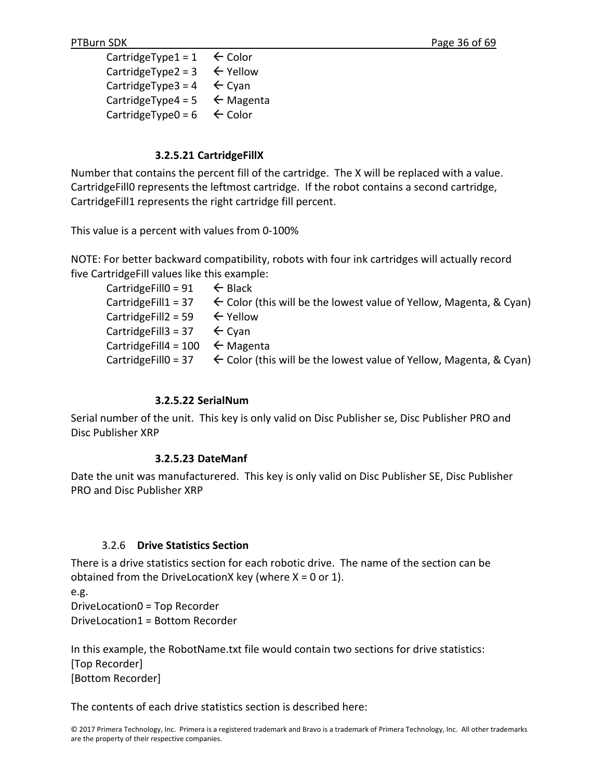CartridgeType1 =  $1 \leftarrow$  Color CartridgeType2 =  $3 \leftarrow$  Yellow CartridgeType3 =  $4 \leftarrow$  Cyan CartridgeType4 =  $5 \leftarrow$  Magenta CartridgeType0 =  $6 \leftarrow$  Color

## **3.2.5.21 CartridgeFillX**

Number that contains the percent fill of the cartridge. The X will be replaced with a value. CartridgeFill0 represents the leftmost cartridge. If the robot contains a second cartridge, CartridgeFill1 represents the right cartridge fill percent.

This value is a percent with values from 0‐100%

NOTE: For better backward compatibility, robots with four ink cartridges will actually record five CartridgeFill values like this example:

| Cartridge Fill $0 = 91$ $\leftarrow$ Black  |                                                                                                       |
|---------------------------------------------|-------------------------------------------------------------------------------------------------------|
|                                             | Cartridge Fill $1 = 37$ $\leftarrow$ Color (this will be the lowest value of Yellow, Magenta, & Cyan) |
| Cartridge Fill $2 = 59$ $\leftarrow$ Yellow |                                                                                                       |
| Cartridge Fill 3 = 37 $\leftarrow$ Cyan     |                                                                                                       |
| Cartridge Fill 4 = 100 $\leftarrow$ Magenta |                                                                                                       |
|                                             | Cartridge Fillo = 37 $\leftarrow$ Color (this will be the lowest value of Yellow, Magenta, & Cyan)    |

## **3.2.5.22 SerialNum**

Serial number of the unit. This key is only valid on Disc Publisher se, Disc Publisher PRO and Disc Publisher XRP

## **3.2.5.23 DateManf**

Date the unit was manufacturered. This key is only valid on Disc Publisher SE, Disc Publisher PRO and Disc Publisher XRP

## 3.2.6 **Drive Statistics Section**

There is a drive statistics section for each robotic drive. The name of the section can be obtained from the DriveLocationX key (where  $X = 0$  or 1).

e.g.

DriveLocation0 = Top Recorder DriveLocation1 = Bottom Recorder

In this example, the RobotName.txt file would contain two sections for drive statistics: [Top Recorder] [Bottom Recorder]

The contents of each drive statistics section is described here: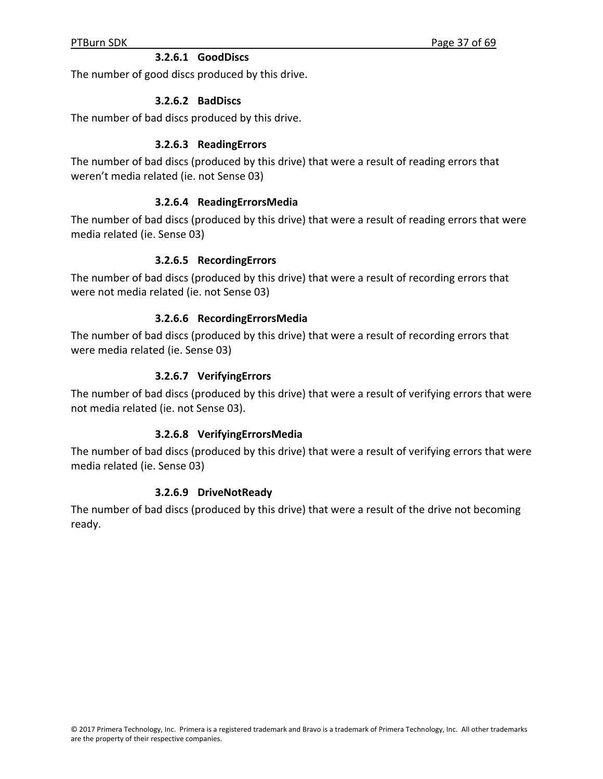## **3.2.6.1 GoodDiscs**

The number of good discs produced by this drive.

## **3.2.6.2 BadDiscs**

The number of bad discs produced by this drive.

## **3.2.6.3 ReadingErrors**

The number of bad discs (produced by this drive) that were a result of reading errors that weren't media related (ie. not Sense 03)

## **3.2.6.4 ReadingErrorsMedia**

The number of bad discs (produced by this drive) that were a result of reading errors that were media related (ie. Sense 03)

## **3.2.6.5 RecordingErrors**

The number of bad discs (produced by this drive) that were a result of recording errors that were not media related (ie. not Sense 03)

## **3.2.6.6 RecordingErrorsMedia**

The number of bad discs (produced by this drive) that were a result of recording errors that were media related (ie. Sense 03)

## **3.2.6.7 VerifyingErrors**

The number of bad discs (produced by this drive) that were a result of verifying errors that were not media related (ie. not Sense 03).

## **3.2.6.8 VerifyingErrorsMedia**

The number of bad discs (produced by this drive) that were a result of verifying errors that were media related (ie. Sense 03)

## **3.2.6.9 DriveNotReady**

The number of bad discs (produced by this drive) that were a result of the drive not becoming ready.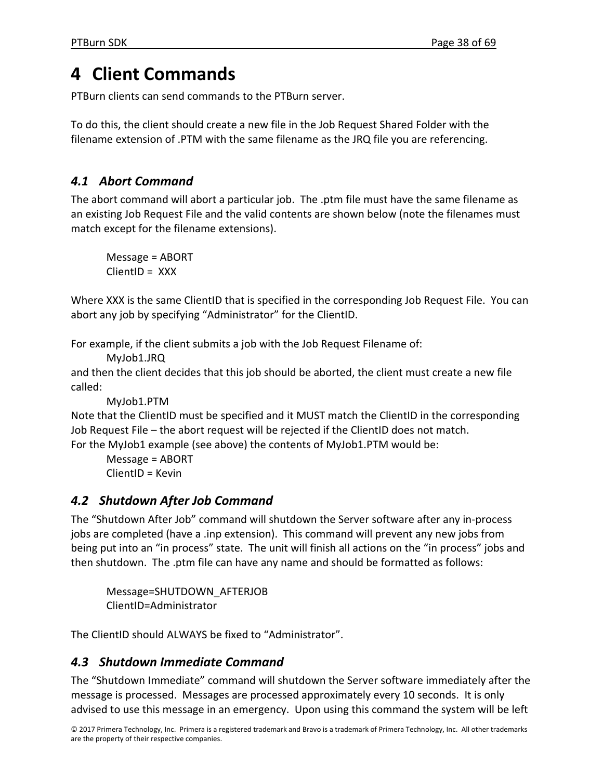# **4 Client Commands**

PTBurn clients can send commands to the PTBurn server.

To do this, the client should create a new file in the Job Request Shared Folder with the filename extension of .PTM with the same filename as the JRQ file you are referencing.

# *4.1 Abort Command*

The abort command will abort a particular job. The .ptm file must have the same filename as an existing Job Request File and the valid contents are shown below (note the filenames must match except for the filename extensions).

Message = ABORT ClientID = XXX

Where XXX is the same ClientID that is specified in the corresponding Job Request File. You can abort any job by specifying "Administrator" for the ClientID.

For example, if the client submits a job with the Job Request Filename of:

MyJob1.JRQ

and then the client decides that this job should be aborted, the client must create a new file called:

```
MyJob1.PTM
```
Note that the ClientID must be specified and it MUST match the ClientID in the corresponding Job Request File – the abort request will be rejected if the ClientID does not match. For the MyJob1 example (see above) the contents of MyJob1.PTM would be:

```
Message = ABORT
ClientID = Kevin
```
# *4.2 Shutdown After Job Command*

The "Shutdown After Job" command will shutdown the Server software after any in‐process jobs are completed (have a .inp extension). This command will prevent any new jobs from being put into an "in process" state. The unit will finish all actions on the "in process" jobs and then shutdown. The .ptm file can have any name and should be formatted as follows:

Message=SHUTDOWN\_AFTERJOB ClientID=Administrator

The ClientID should ALWAYS be fixed to "Administrator".

# *4.3 Shutdown Immediate Command*

The "Shutdown Immediate" command will shutdown the Server software immediately after the message is processed. Messages are processed approximately every 10 seconds. It is only advised to use this message in an emergency. Upon using this command the system will be left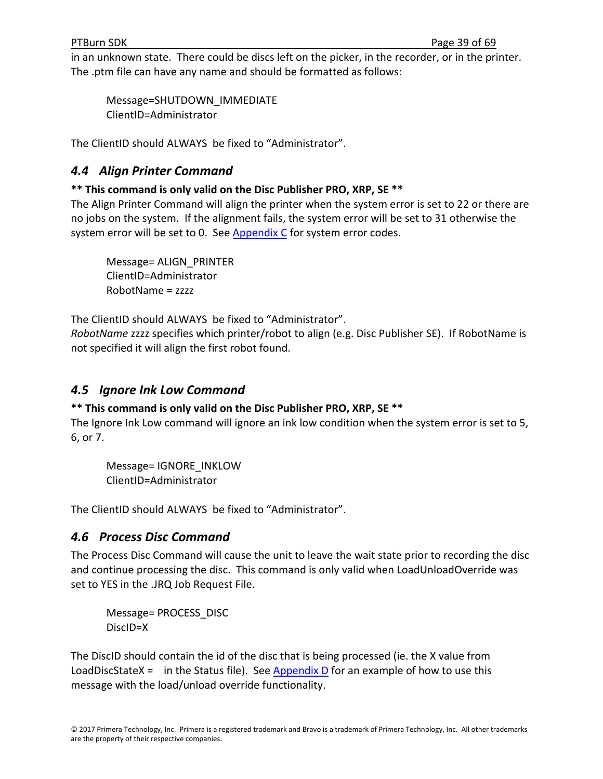in an unknown state. There could be discs left on the picker, in the recorder, or in the printer. The .ptm file can have any name and should be formatted as follows:

Message=SHUTDOWN\_IMMEDIATE ClientID=Administrator

The ClientID should ALWAYS be fixed to "Administrator".

# *4.4 Align Printer Command*

# **\*\* This command is only valid on the Disc Publisher PRO, XRP, SE \*\***

The Align Printer Command will align the printer when the system error is set to 22 or there are no jobs on the system. If the alignment fails, the system error will be set to 31 otherwise the system error will be set to 0. See Appendix C for system error codes.

Message= ALIGN\_PRINTER ClientID=Administrator RobotName = zzzz

The ClientID should ALWAYS be fixed to "Administrator".

*RobotName* zzzz specifies which printer/robot to align (e.g. Disc Publisher SE). If RobotName is not specified it will align the first robot found.

# *4.5 Ignore Ink Low Command*

# **\*\* This command is only valid on the Disc Publisher PRO, XRP, SE \*\***

The Ignore Ink Low command will ignore an ink low condition when the system error is set to 5, 6, or 7.

Message= IGNORE\_INKLOW ClientID=Administrator

The ClientID should ALWAYS be fixed to "Administrator".

# *4.6 Process Disc Command*

The Process Disc Command will cause the unit to leave the wait state prior to recording the disc and continue processing the disc. This command is only valid when LoadUnloadOverride was set to YES in the .JRQ Job Request File.

Message= PROCESS\_DISC DiscID=X

The DiscID should contain the id of the disc that is being processed (ie. the X value from LoadDiscStateX = in the Status file). See Appendix  $D$  for an example of how to use this message with the load/unload override functionality.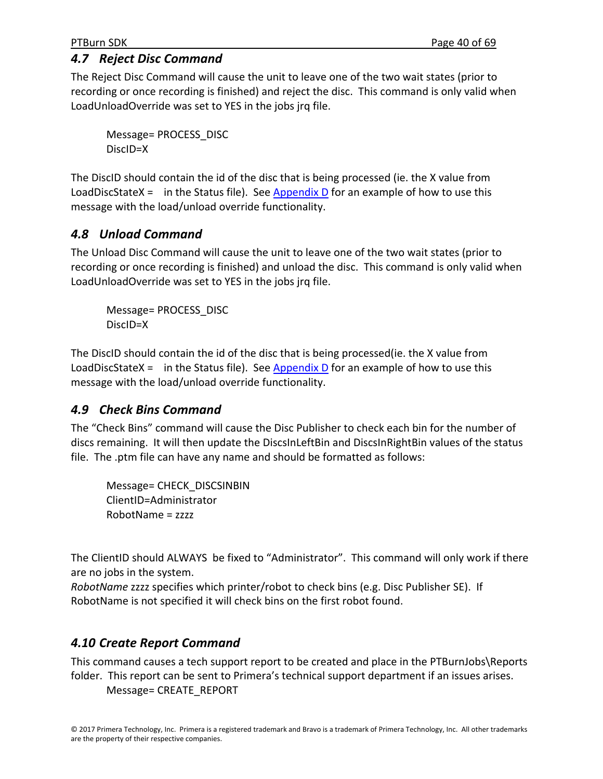# *4.7 Reject Disc Command*

The Reject Disc Command will cause the unit to leave one of the two wait states (prior to recording or once recording is finished) and reject the disc. This command is only valid when LoadUnloadOverride was set to YES in the jobs jrq file.

Message= PROCESS\_DISC DiscID=X

The DiscID should contain the id of the disc that is being processed (ie. the X value from LoadDiscStateX = in the Status file). See Appendix D for an example of how to use this message with the load/unload override functionality.

# *4.8 Unload Command*

The Unload Disc Command will cause the unit to leave one of the two wait states (prior to recording or once recording is finished) and unload the disc. This command is only valid when LoadUnloadOverride was set to YES in the jobs jrq file.

Message= PROCESS\_DISC DiscID=X

The DiscID should contain the id of the disc that is being processed(ie. the X value from LoadDiscStateX = in the Status file). See Appendix  $D$  for an example of how to use this message with the load/unload override functionality.

# *4.9 Check Bins Command*

The "Check Bins" command will cause the Disc Publisher to check each bin for the number of discs remaining. It will then update the DiscsInLeftBin and DiscsInRightBin values of the status file. The .ptm file can have any name and should be formatted as follows:

Message= CHECK\_DISCSINBIN ClientID=Administrator RobotName = zzzz

The ClientID should ALWAYS be fixed to "Administrator". This command will only work if there are no jobs in the system.

*RobotName* zzzz specifies which printer/robot to check bins (e.g. Disc Publisher SE). If RobotName is not specified it will check bins on the first robot found.

# *4.10 Create Report Command*

This command causes a tech support report to be created and place in the PTBurnJobs\Reports folder. This report can be sent to Primera's technical support department if an issues arises. Message= CREATE\_REPORT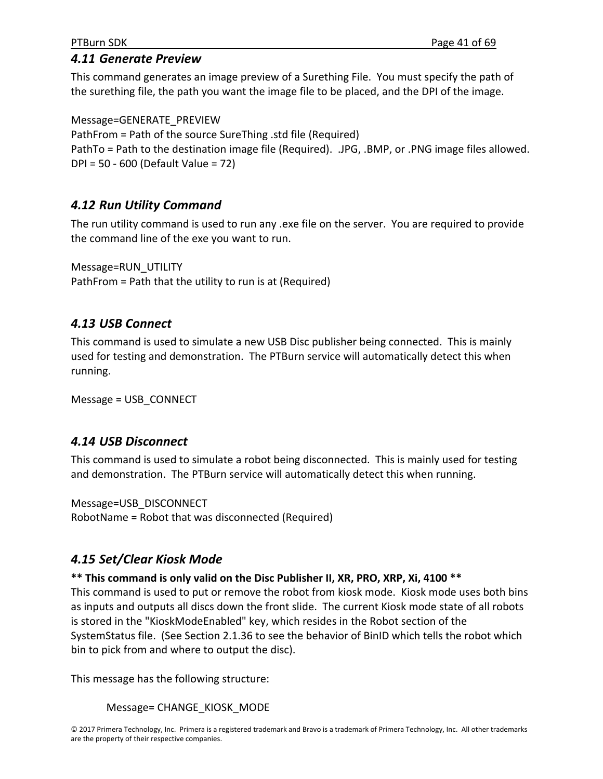# *4.11 Generate Preview*

This command generates an image preview of a Surething File. You must specify the path of the surething file, the path you want the image file to be placed, and the DPI of the image.

Message=GENERATE\_PREVIEW PathFrom = Path of the source SureThing .std file (Required) PathTo = Path to the destination image file (Required). .JPG, .BMP, or .PNG image files allowed. DPI = 50 ‐ 600 (Default Value = 72)

# *4.12 Run Utility Command*

The run utility command is used to run any .exe file on the server. You are required to provide the command line of the exe you want to run.

Message=RUN\_UTILITY PathFrom = Path that the utility to run is at (Required)

# *4.13 USB Connect*

This command is used to simulate a new USB Disc publisher being connected. This is mainly used for testing and demonstration. The PTBurn service will automatically detect this when running.

Message = USB\_CONNECT

# *4.14 USB Disconnect*

This command is used to simulate a robot being disconnected. This is mainly used for testing and demonstration. The PTBurn service will automatically detect this when running.

Message=USB\_DISCONNECT RobotName = Robot that was disconnected (Required)

# *4.15 Set/Clear Kiosk Mode*

# **\*\* This command is only valid on the Disc Publisher II, XR, PRO, XRP, Xi, 4100 \*\***

This command is used to put or remove the robot from kiosk mode. Kiosk mode uses both bins as inputs and outputs all discs down the front slide. The current Kiosk mode state of all robots is stored in the "KioskModeEnabled" key, which resides in the Robot section of the SystemStatus file. (See Section 2.1.36 to see the behavior of BinID which tells the robot which bin to pick from and where to output the disc).

This message has the following structure:

Message= CHANGE\_KIOSK\_MODE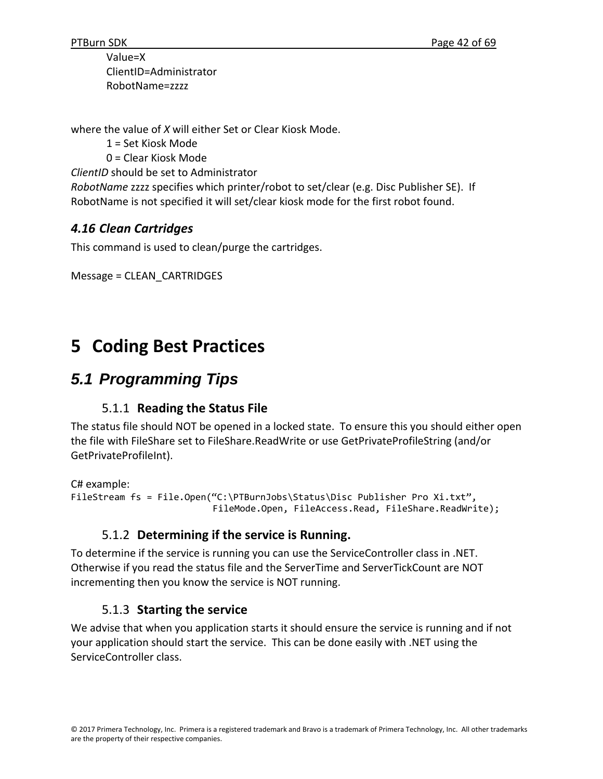Value=X ClientID=Administrator RobotName=zzzz

where the value of *X* will either Set or Clear Kiosk Mode.

1 = Set Kiosk Mode

0 = Clear Kiosk Mode

*ClientID* should be set to Administrator

*RobotName* zzzz specifies which printer/robot to set/clear (e.g. Disc Publisher SE). If RobotName is not specified it will set/clear kiosk mode for the first robot found.

# *4.16 Clean Cartridges*

This command is used to clean/purge the cartridges.

```
Message = CLEAN_CARTRIDGES
```
# **5 Coding Best Practices**

# *5.1 Programming Tips*

# 5.1.1 **Reading the Status File**

The status file should NOT be opened in a locked state. To ensure this you should either open the file with FileShare set to FileShare.ReadWrite or use GetPrivateProfileString (and/or GetPrivateProfileInt).

```
C# example:
FileStream fs = File.Open("C:\PTBurnJobs\Status\Disc Publisher Pro Xi.txt",  
                                FileMode.Open, FileAccess.Read, FileShare.ReadWrite);
```
# 5.1.2 **Determining if the service is Running.**

To determine if the service is running you can use the ServiceController class in .NET. Otherwise if you read the status file and the ServerTime and ServerTickCount are NOT incrementing then you know the service is NOT running.

# 5.1.3 **Starting the service**

We advise that when you application starts it should ensure the service is running and if not your application should start the service. This can be done easily with .NET using the ServiceController class.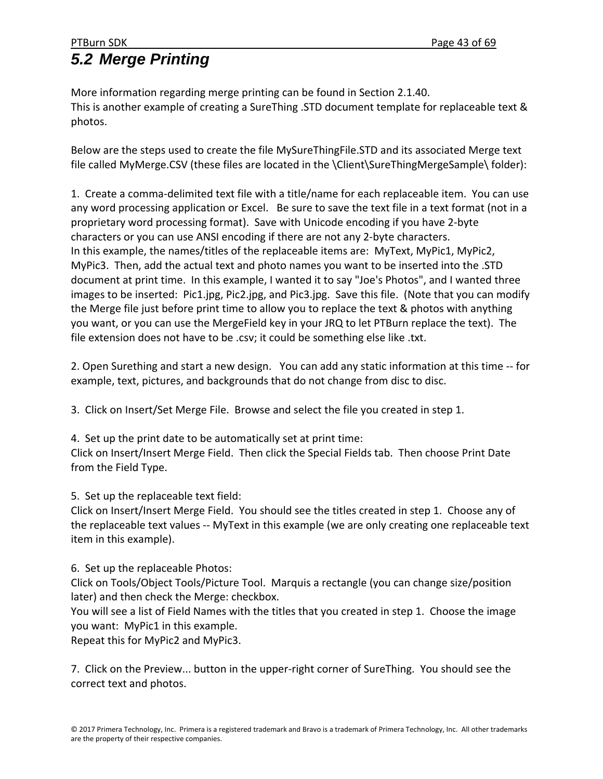More information regarding merge printing can be found in Section 2.1.40. This is another example of creating a SureThing .STD document template for replaceable text & photos.

Below are the steps used to create the file MySureThingFile.STD and its associated Merge text file called MyMerge.CSV (these files are located in the \Client\SureThingMergeSample\ folder):

1. Create a comma‐delimited text file with a title/name for each replaceable item. You can use any word processing application or Excel. Be sure to save the text file in a text format (not in a proprietary word processing format). Save with Unicode encoding if you have 2‐byte characters or you can use ANSI encoding if there are not any 2‐byte characters. In this example, the names/titles of the replaceable items are: MyText, MyPic1, MyPic2, MyPic3. Then, add the actual text and photo names you want to be inserted into the .STD document at print time. In this example, I wanted it to say "Joe's Photos", and I wanted three images to be inserted: Pic1.jpg, Pic2.jpg, and Pic3.jpg. Save this file. (Note that you can modify the Merge file just before print time to allow you to replace the text & photos with anything you want, or you can use the MergeField key in your JRQ to let PTBurn replace the text). The file extension does not have to be .csv; it could be something else like .txt.

2. Open Surething and start a new design. You can add any static information at this time ‐‐ for example, text, pictures, and backgrounds that do not change from disc to disc.

3. Click on Insert/Set Merge File. Browse and select the file you created in step 1.

4. Set up the print date to be automatically set at print time: Click on Insert/Insert Merge Field. Then click the Special Fields tab. Then choose Print Date from the Field Type.

5. Set up the replaceable text field:

Click on Insert/Insert Merge Field. You should see the titles created in step 1. Choose any of the replaceable text values ‐‐ MyText in this example (we are only creating one replaceable text item in this example).

6. Set up the replaceable Photos:

Click on Tools/Object Tools/Picture Tool. Marquis a rectangle (you can change size/position later) and then check the Merge: checkbox.

You will see a list of Field Names with the titles that you created in step 1. Choose the image you want: MyPic1 in this example.

Repeat this for MyPic2 and MyPic3.

7. Click on the Preview... button in the upper-right corner of SureThing. You should see the correct text and photos.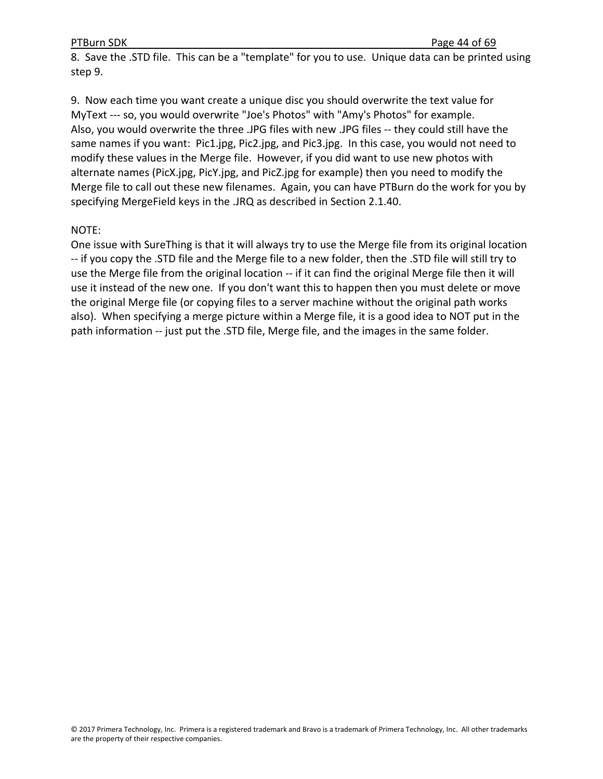8. Save the .STD file. This can be a "template" for you to use. Unique data can be printed using step 9.

9. Now each time you want create a unique disc you should overwrite the text value for MyText --- so, you would overwrite "Joe's Photos" with "Amy's Photos" for example. Also, you would overwrite the three .JPG files with new .JPG files ‐‐ they could still have the same names if you want: Pic1.jpg, Pic2.jpg, and Pic3.jpg. In this case, you would not need to modify these values in the Merge file. However, if you did want to use new photos with alternate names (PicX.jpg, PicY.jpg, and PicZ.jpg for example) then you need to modify the Merge file to call out these new filenames. Again, you can have PTBurn do the work for you by specifying MergeField keys in the .JRQ as described in Section 2.1.40.

## NOTE:

One issue with SureThing is that it will always try to use the Merge file from its original location ‐‐ if you copy the .STD file and the Merge file to a new folder, then the .STD file will still try to use the Merge file from the original location ‐‐ if it can find the original Merge file then it will use it instead of the new one. If you don't want this to happen then you must delete or move the original Merge file (or copying files to a server machine without the original path works also). When specifying a merge picture within a Merge file, it is a good idea to NOT put in the path information -- just put the .STD file, Merge file, and the images in the same folder.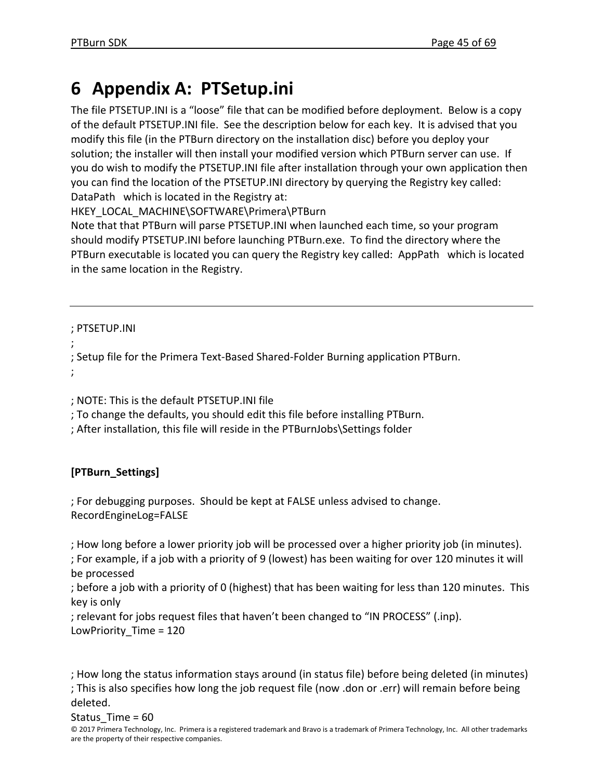# **6 Appendix A: PTSetup.ini**

The file PTSETUP.INI is a "loose" file that can be modified before deployment. Below is a copy of the default PTSETUP.INI file. See the description below for each key. It is advised that you modify this file (in the PTBurn directory on the installation disc) before you deploy your solution; the installer will then install your modified version which PTBurn server can use. If you do wish to modify the PTSETUP.INI file after installation through your own application then you can find the location of the PTSETUP.INI directory by querying the Registry key called: DataPath which is located in the Registry at:

HKEY\_LOCAL\_MACHINE\SOFTWARE\Primera\PTBurn

Note that that PTBurn will parse PTSETUP.INI when launched each time, so your program should modify PTSETUP.INI before launching PTBurn.exe. To find the directory where the PTBurn executable is located you can query the Registry key called: AppPath which is located in the same location in the Registry.

; PTSETUP.INI

```
;
; Setup file for the Primera Text‐Based Shared‐Folder Burning application PTBurn.
;
```
; NOTE: This is the default PTSETUP.INI file

; To change the defaults, you should edit this file before installing PTBurn.

; After installation, this file will reside in the PTBurnJobs\Settings folder

# **[PTBurn\_Settings]**

; For debugging purposes. Should be kept at FALSE unless advised to change. RecordEngineLog=FALSE

; How long before a lower priority job will be processed over a higher priority job (in minutes).

; For example, if a job with a priority of 9 (lowest) has been waiting for over 120 minutes it will be processed

; before a job with a priority of 0 (highest) that has been waiting for less than 120 minutes. This key is only

; relevant for jobs request files that haven't been changed to "IN PROCESS" (.inp).

LowPriority Time = 120

; How long the status information stays around (in status file) before being deleted (in minutes) ; This is also specifies how long the job request file (now .don or .err) will remain before being deleted.

Status  $Time = 60$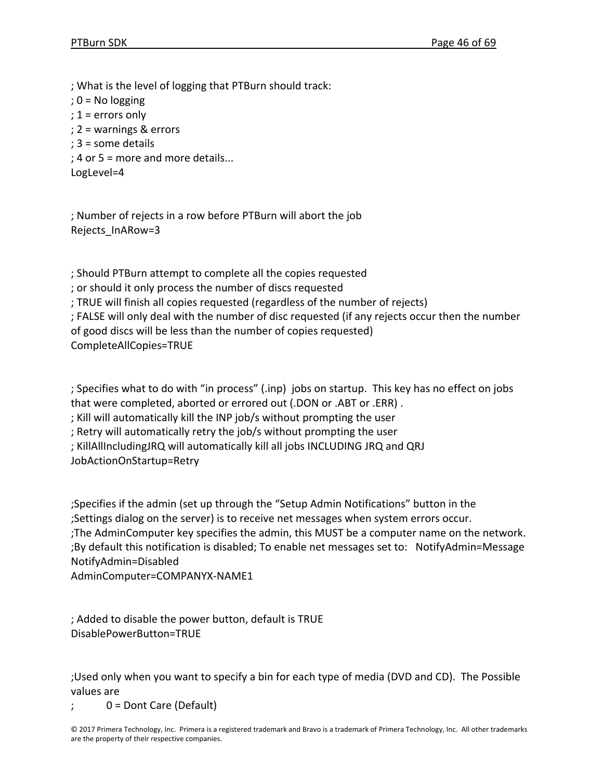; What is the level of logging that PTBurn should track:  $: 0 = No$  logging ; 1 = errors only ; 2 = warnings & errors ; 3 = some details ; 4 or 5 = more and more details...

LogLevel=4

; Number of rejects in a row before PTBurn will abort the job Rejects\_InARow=3

; Should PTBurn attempt to complete all the copies requested

; or should it only process the number of discs requested

; TRUE will finish all copies requested (regardless of the number of rejects)

; FALSE will only deal with the number of disc requested (if any rejects occur then the number of good discs will be less than the number of copies requested)

CompleteAllCopies=TRUE

; Specifies what to do with "in process" (.inp) jobs on startup. This key has no effect on jobs that were completed, aborted or errored out (.DON or .ABT or .ERR) .

; Kill will automatically kill the INP job/s without prompting the user

; Retry will automatically retry the job/s without prompting the user

; KillAllIncludingJRQ will automatically kill all jobs INCLUDING JRQ and QRJ

JobActionOnStartup=Retry

;Specifies if the admin (set up through the "Setup Admin Notifications" button in the ;Settings dialog on the server) is to receive net messages when system errors occur. ;The AdminComputer key specifies the admin, this MUST be a computer name on the network. ;By default this notification is disabled; To enable net messages set to: NotifyAdmin=Message NotifyAdmin=Disabled

AdminComputer=COMPANYX‐NAME1

; Added to disable the power button, default is TRUE DisablePowerButton=TRUE

;Used only when you want to specify a bin for each type of media (DVD and CD). The Possible values are

0 = Dont Care (Default)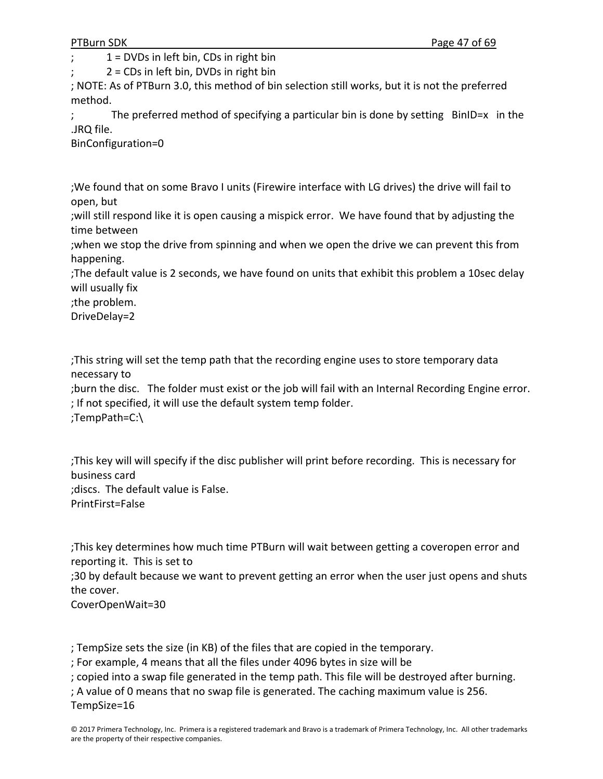$1 =$  DVDs in left bin, CDs in right bin

 $2 = CDS$  in left bin, DVDs in right bin

; NOTE: As of PTBurn 3.0, this method of bin selection still works, but it is not the preferred method.

; The preferred method of specifying a particular bin is done by setting BinID=x in the .JRQ file.

BinConfiguration=0

;We found that on some Bravo I units (Firewire interface with LG drives) the drive will fail to open, but

;will still respond like it is open causing a mispick error. We have found that by adjusting the time between

;when we stop the drive from spinning and when we open the drive we can prevent this from happening.

;The default value is 2 seconds, we have found on units that exhibit this problem a 10sec delay will usually fix

;the problem.

DriveDelay=2

;This string will set the temp path that the recording engine uses to store temporary data necessary to

;burn the disc. The folder must exist or the job will fail with an Internal Recording Engine error. ; If not specified, it will use the default system temp folder. ;TempPath=C:\

;This key will will specify if the disc publisher will print before recording. This is necessary for business card ;discs. The default value is False. PrintFirst=False

;This key determines how much time PTBurn will wait between getting a coveropen error and reporting it. This is set to

;30 by default because we want to prevent getting an error when the user just opens and shuts the cover.

CoverOpenWait=30

; TempSize sets the size (in KB) of the files that are copied in the temporary.

; For example, 4 means that all the files under 4096 bytes in size will be

; copied into a swap file generated in the temp path. This file will be destroyed after burning.

; A value of 0 means that no swap file is generated. The caching maximum value is 256.

TempSize=16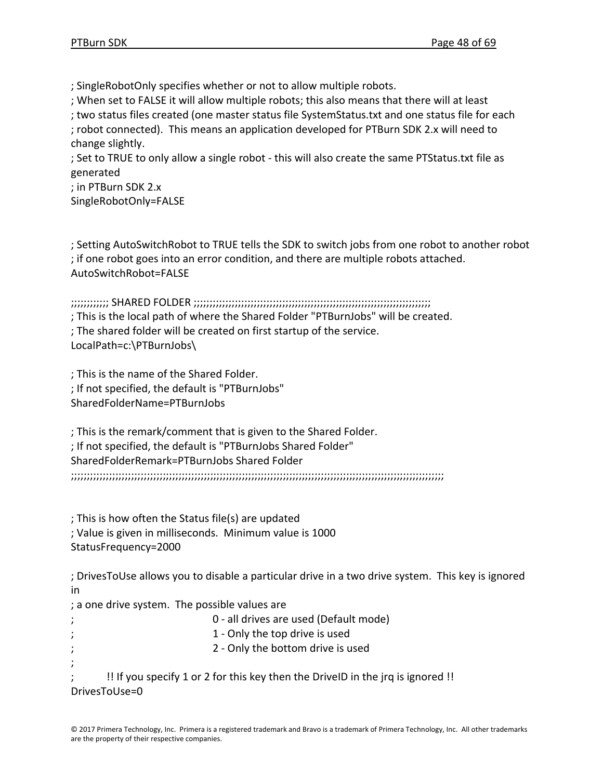; SingleRobotOnly specifies whether or not to allow multiple robots.

; When set to FALSE it will allow multiple robots; this also means that there will at least

; two status files created (one master status file SystemStatus.txt and one status file for each

; robot connected). This means an application developed for PTBurn SDK 2.x will need to change slightly.

; Set to TRUE to only allow a single robot ‐ this will also create the same PTStatus.txt file as generated

; in PTBurn SDK 2.x SingleRobotOnly=FALSE

; Setting AutoSwitchRobot to TRUE tells the SDK to switch jobs from one robot to another robot ; if one robot goes into an error condition, and there are multiple robots attached. AutoSwitchRobot=FALSE

;;;;;;;;;;;; SHARED FOLDER ;;;;;;;;;;;;;;;;;;;;;;;;;;;;;;;;;;;;;;;;;;;;;;;;;;;;;;;;;;;;;;;;;;;;;;;;;;;

; This is the local path of where the Shared Folder "PTBurnJobs" will be created.

; The shared folder will be created on first startup of the service.

LocalPath=c:\PTBurnJobs\

; This is the name of the Shared Folder. ; If not specified, the default is "PTBurnJobs" SharedFolderName=PTBurnJobs

; This is the remark/comment that is given to the Shared Folder. ; If not specified, the default is "PTBurnJobs Shared Folder" SharedFolderRemark=PTBurnJobs Shared Folder ;;;;;;;;;;;;;;;;;;;;;;;;;;;;;;;;;;;;;;;;;;;;;;;;;;;;;;;;;;;;;;;;;;;;;;;;;;;;;;;;;;;;;;;;;;;;;;;;;;;;;;;;;;;;;;;;;;;;;;

; This is how often the Status file(s) are updated ; Value is given in milliseconds. Minimum value is 1000 StatusFrequency=2000

; DrivesToUse allows you to disable a particular drive in a two drive system. This key is ignored in

; a one drive system. The possible values are

; 0 ‐ all drives are used (Default mode) 1 - Only the top drive is used 2 - Only the bottom drive is used ; ; !! If you specify 1 or 2 for this key then the DriveID in the jrq is ignored !! DrivesToUse=0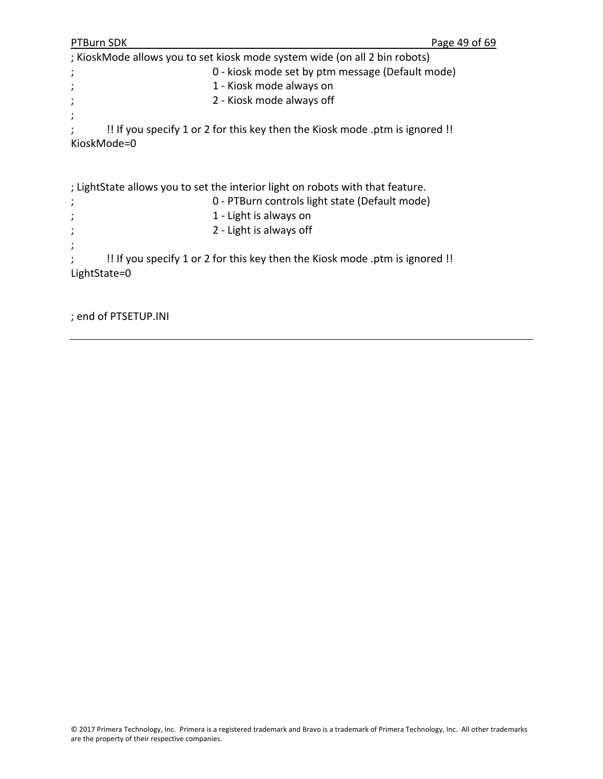```
PTBurn SDK PERIODICAL PROPERTY CONTROL
; KioskMode allows you to set kiosk mode system wide (on all 2 bin robots)
;       0 ‐ kiosk mode set by ptm message (Default mode)
;       1 ‐ Kiosk mode always on
;       2 ‐ Kiosk mode always off
;
     ; !! If you specify 1 or 2 for this key then the Kiosk mode .ptm is ignored !!
KioskMode=0
; LightState allows you to set the interior light on robots with that feature.   
;       0 ‐ PTBurn controls light state (Default mode)
;       1 ‐ Light is always on
;       2 ‐ Light is always off
;
; !! If you specify 1 or 2 for this key then the Kiosk mode .ptm is ignored !!
LightState=0
```

```
; end of PTSETUP.INI
```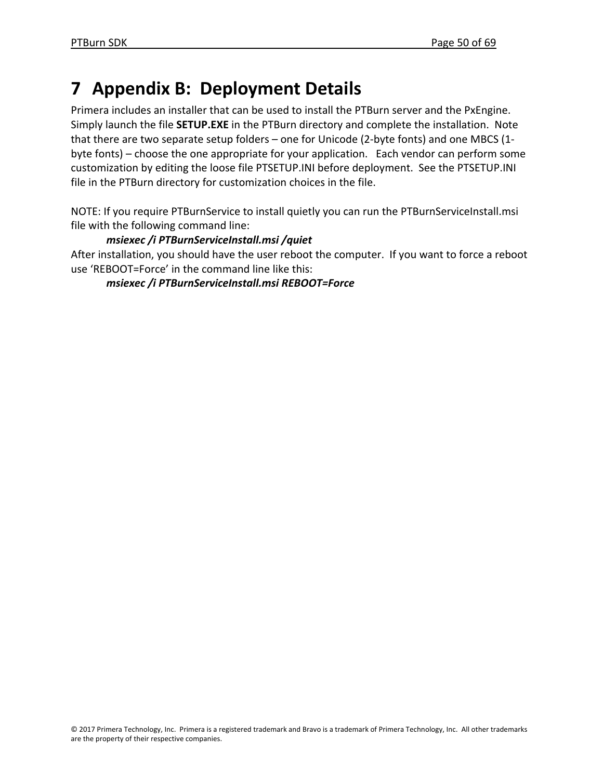# **7 Appendix B: Deployment Details**

Primera includes an installer that can be used to install the PTBurn server and the PxEngine. Simply launch the file **SETUP.EXE** in the PTBurn directory and complete the installation. Note that there are two separate setup folders – one for Unicode (2‐byte fonts) and one MBCS (1‐ byte fonts) – choose the one appropriate for your application. Each vendor can perform some customization by editing the loose file PTSETUP.INI before deployment. See the PTSETUP.INI file in the PTBurn directory for customization choices in the file.

NOTE: If you require PTBurnService to install quietly you can run the PTBurnServiceInstall.msi file with the following command line:

# *msiexec /i PTBurnServiceInstall.msi /quiet*

After installation, you should have the user reboot the computer. If you want to force a reboot use 'REBOOT=Force' in the command line like this:

*msiexec /i PTBurnServiceInstall.msi REBOOT=Force*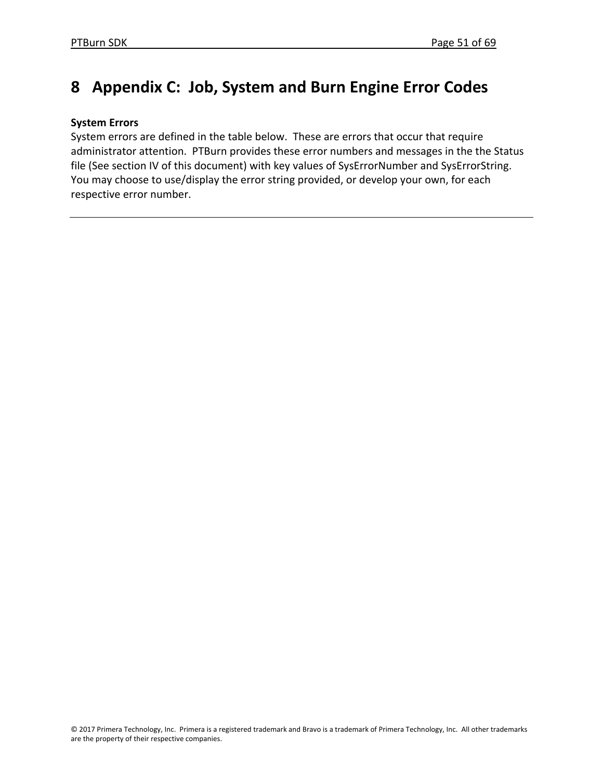# **8 Appendix C: Job, System and Burn Engine Error Codes**

## **System Errors**

System errors are defined in the table below. These are errors that occur that require administrator attention. PTBurn provides these error numbers and messages in the the Status file (See section IV of this document) with key values of SysErrorNumber and SysErrorString. You may choose to use/display the error string provided, or develop your own, for each respective error number.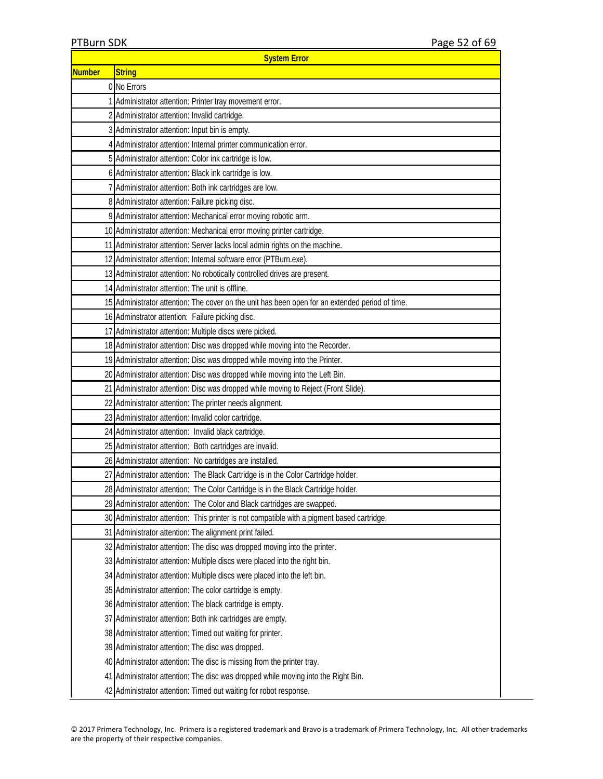| <b>System Error</b>                                      |                                                                                                 |  |  |  |
|----------------------------------------------------------|-------------------------------------------------------------------------------------------------|--|--|--|
| <b>Number</b>                                            | <b>String</b>                                                                                   |  |  |  |
|                                                          | 0 No Errors                                                                                     |  |  |  |
|                                                          | 1 Administrator attention: Printer tray movement error.                                         |  |  |  |
|                                                          | 2 Administrator attention: Invalid cartridge.                                                   |  |  |  |
|                                                          | 3 Administrator attention: Input bin is empty.                                                  |  |  |  |
|                                                          | 4 Administrator attention: Internal printer communication error.                                |  |  |  |
|                                                          | 5 Administrator attention: Color ink cartridge is low.                                          |  |  |  |
|                                                          | 6 Administrator attention: Black ink cartridge is low.                                          |  |  |  |
|                                                          | 7 Administrator attention: Both ink cartridges are low.                                         |  |  |  |
|                                                          | 8 Administrator attention: Failure picking disc.                                                |  |  |  |
|                                                          | 9 Administrator attention: Mechanical error moving robotic arm.                                 |  |  |  |
|                                                          | 10 Administrator attention: Mechanical error moving printer cartridge.                          |  |  |  |
|                                                          | 11 Administrator attention: Server lacks local admin rights on the machine.                     |  |  |  |
|                                                          | 12 Administrator attention: Internal software error (PTBurn.exe).                               |  |  |  |
|                                                          | 13 Administrator attention: No robotically controlled drives are present.                       |  |  |  |
|                                                          | 14 Administrator attention: The unit is offline.                                                |  |  |  |
|                                                          | 15 Administrator attention: The cover on the unit has been open for an extended period of time. |  |  |  |
|                                                          | 16 Adminstrator attention: Failure picking disc.                                                |  |  |  |
|                                                          | 17 Administrator attention: Multiple discs were picked.                                         |  |  |  |
|                                                          | 18 Administrator attention: Disc was dropped while moving into the Recorder.                    |  |  |  |
|                                                          | 19 Administrator attention: Disc was dropped while moving into the Printer.                     |  |  |  |
|                                                          | 20 Administrator attention: Disc was dropped while moving into the Left Bin.                    |  |  |  |
|                                                          | 21 Administrator attention: Disc was dropped while moving to Reject (Front Slide).              |  |  |  |
|                                                          | 22 Administrator attention: The printer needs alignment.                                        |  |  |  |
|                                                          | 23 Administrator attention: Invalid color cartridge.                                            |  |  |  |
|                                                          | 24 Administrator attention: Invalid black cartridge.                                            |  |  |  |
|                                                          | 25 Administrator attention: Both cartridges are invalid.                                        |  |  |  |
| 26 Administrator attention: No cartridges are installed. |                                                                                                 |  |  |  |
| 271                                                      | Administrator attention: The Black Cartridge is in the Color Cartridge holder.                  |  |  |  |
|                                                          | 28 Administrator attention: The Color Cartridge is in the Black Cartridge holder.               |  |  |  |
|                                                          | 29 Administrator attention: The Color and Black cartridges are swapped.                         |  |  |  |
|                                                          | 30 Administrator attention: This printer is not compatible with a pigment based cartridge.      |  |  |  |
|                                                          | 31 Administrator attention: The alignment print failed.                                         |  |  |  |
|                                                          | 32 Administrator attention: The disc was dropped moving into the printer.                       |  |  |  |
|                                                          | 33 Administrator attention: Multiple discs were placed into the right bin.                      |  |  |  |
|                                                          | 34 Administrator attention: Multiple discs were placed into the left bin.                       |  |  |  |
|                                                          | 35 Administrator attention: The color cartridge is empty.                                       |  |  |  |
|                                                          | 36 Administrator attention: The black cartridge is empty.                                       |  |  |  |
|                                                          | 37 Administrator attention: Both ink cartridges are empty.                                      |  |  |  |
|                                                          | 38 Administrator attention: Timed out waiting for printer.                                      |  |  |  |
|                                                          | 39 Administrator attention: The disc was dropped.                                               |  |  |  |
|                                                          | 40 Administrator attention: The disc is missing from the printer tray.                          |  |  |  |
|                                                          | 41 Administrator attention: The disc was dropped while moving into the Right Bin.               |  |  |  |
|                                                          | 42 Administrator attention: Timed out waiting for robot response.                               |  |  |  |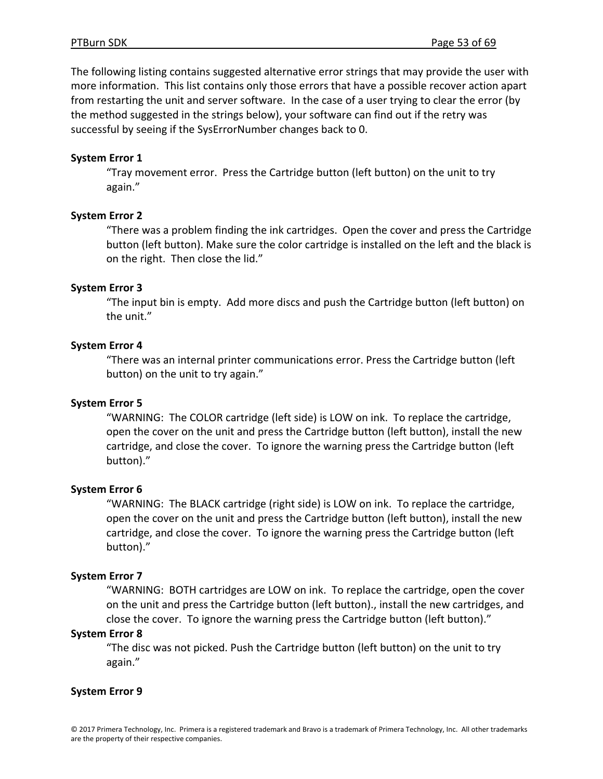The following listing contains suggested alternative error strings that may provide the user with more information. This list contains only those errors that have a possible recover action apart from restarting the unit and server software. In the case of a user trying to clear the error (by the method suggested in the strings below), your software can find out if the retry was successful by seeing if the SysErrorNumber changes back to 0.

#### **System Error 1**

"Tray movement error. Press the Cartridge button (left button) on the unit to try again."

#### **System Error 2**

"There was a problem finding the ink cartridges. Open the cover and press the Cartridge button (left button). Make sure the color cartridge is installed on the left and the black is on the right. Then close the lid."

#### **System Error 3**

"The input bin is empty. Add more discs and push the Cartridge button (left button) on the unit."

#### **System Error 4**

"There was an internal printer communications error. Press the Cartridge button (left button) on the unit to try again."

## **System Error 5**

"WARNING: The COLOR cartridge (left side) is LOW on ink. To replace the cartridge, open the cover on the unit and press the Cartridge button (left button), install the new cartridge, and close the cover. To ignore the warning press the Cartridge button (left button)."

#### **System Error 6**

"WARNING: The BLACK cartridge (right side) is LOW on ink. To replace the cartridge, open the cover on the unit and press the Cartridge button (left button), install the new cartridge, and close the cover. To ignore the warning press the Cartridge button (left button)."

#### **System Error 7**

"WARNING: BOTH cartridges are LOW on ink. To replace the cartridge, open the cover on the unit and press the Cartridge button (left button)., install the new cartridges, and close the cover. To ignore the warning press the Cartridge button (left button)."

#### **System Error 8**

"The disc was not picked. Push the Cartridge button (left button) on the unit to try again."

#### **System Error 9**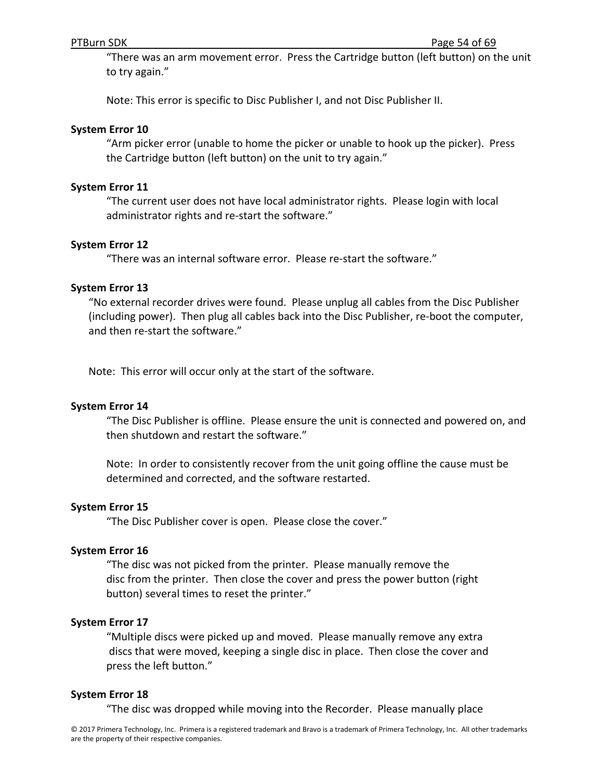"There was an arm movement error. Press the Cartridge button (left button) on the unit to try again."

Note: This error is specific to Disc Publisher I, and not Disc Publisher II.

#### **System Error 10**

"Arm picker error (unable to home the picker or unable to hook up the picker). Press the Cartridge button (left button) on the unit to try again."

#### **System Error 11**

"The current user does not have local administrator rights. Please login with local administrator rights and re‐start the software."

#### **System Error 12**

"There was an internal software error. Please re‐start the software."

#### **System Error 13**

"No external recorder drives were found. Please unplug all cables from the Disc Publisher (including power). Then plug all cables back into the Disc Publisher, re‐boot the computer, and then re‐start the software."

Note: This error will occur only at the start of the software.

#### **System Error 14**

"The Disc Publisher is offline. Please ensure the unit is connected and powered on, and then shutdown and restart the software."

Note: In order to consistently recover from the unit going offline the cause must be determined and corrected, and the software restarted.

#### **System Error 15**

"The Disc Publisher cover is open. Please close the cover."

#### **System Error 16**

"The disc was not picked from the printer. Please manually remove the disc from the printer. Then close the cover and press the power button (right button) several times to reset the printer."

#### **System Error 17**

"Multiple discs were picked up and moved. Please manually remove any extra discs that were moved, keeping a single disc in place. Then close the cover and press the left button."

#### **System Error 18**

"The disc was dropped while moving into the Recorder. Please manually place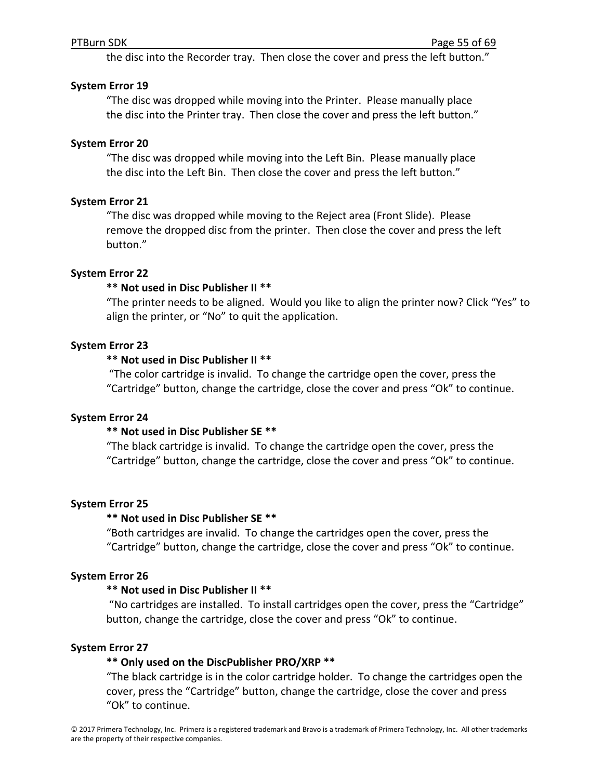the disc into the Recorder tray. Then close the cover and press the left button."

#### **System Error 19**

"The disc was dropped while moving into the Printer. Please manually place the disc into the Printer tray. Then close the cover and press the left button."

#### **System Error 20**

"The disc was dropped while moving into the Left Bin. Please manually place the disc into the Left Bin. Then close the cover and press the left button."

#### **System Error 21**

"The disc was dropped while moving to the Reject area (Front Slide). Please remove the dropped disc from the printer. Then close the cover and press the left button."

#### **System Error 22**

#### **\*\* Not used in Disc Publisher II \*\***

"The printer needs to be aligned. Would you like to align the printer now? Click "Yes" to align the printer, or "No" to quit the application.

#### **System Error 23**

#### **\*\* Not used in Disc Publisher II \*\***

"The color cartridge is invalid. To change the cartridge open the cover, press the "Cartridge" button, change the cartridge, close the cover and press "Ok" to continue.

#### **System Error 24**

## **\*\* Not used in Disc Publisher SE \*\***

"The black cartridge is invalid. To change the cartridge open the cover, press the "Cartridge" button, change the cartridge, close the cover and press "Ok" to continue.

#### **System Error 25**

## **\*\* Not used in Disc Publisher SE \*\***

"Both cartridges are invalid. To change the cartridges open the cover, press the "Cartridge" button, change the cartridge, close the cover and press "Ok" to continue.

#### **System Error 26**

## **\*\* Not used in Disc Publisher II \*\***

"No cartridges are installed. To install cartridges open the cover, press the "Cartridge" button, change the cartridge, close the cover and press "Ok" to continue.

## **System Error 27**

## **\*\* Only used on the DiscPublisher PRO/XRP \*\***

"The black cartridge is in the color cartridge holder. To change the cartridges open the cover, press the "Cartridge" button, change the cartridge, close the cover and press "Ok" to continue.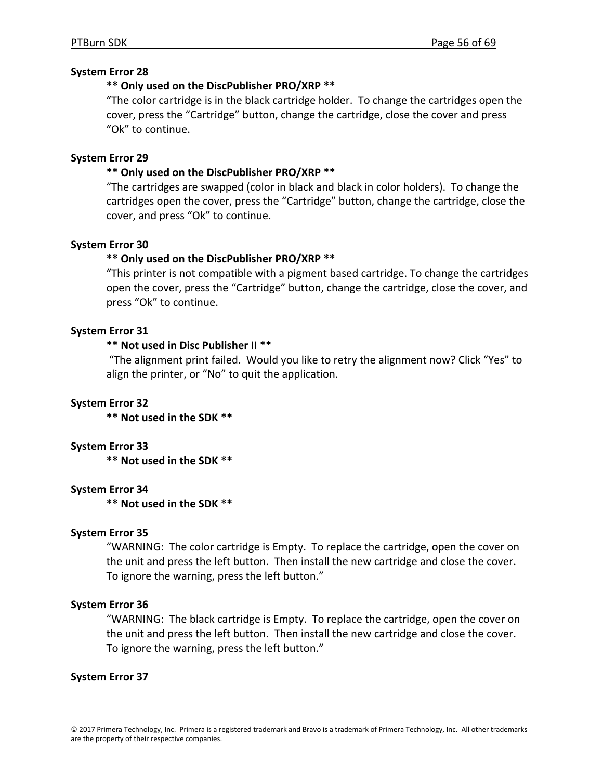#### **System Error 28**

#### **\*\* Only used on the DiscPublisher PRO/XRP \*\***

"The color cartridge is in the black cartridge holder. To change the cartridges open the cover, press the "Cartridge" button, change the cartridge, close the cover and press "Ok" to continue.

#### **System Error 29**

#### **\*\* Only used on the DiscPublisher PRO/XRP \*\***

"The cartridges are swapped (color in black and black in color holders). To change the cartridges open the cover, press the "Cartridge" button, change the cartridge, close the cover, and press "Ok" to continue.

#### **System Error 30**

#### **\*\* Only used on the DiscPublisher PRO/XRP \*\***

"This printer is not compatible with a pigment based cartridge. To change the cartridges open the cover, press the "Cartridge" button, change the cartridge, close the cover, and press "Ok" to continue.

#### **System Error 31**

## **\*\* Not used in Disc Publisher II \*\***

"The alignment print failed. Would you like to retry the alignment now? Click "Yes" to align the printer, or "No" to quit the application.

#### **System Error 32**

**\*\* Not used in the SDK \*\***

#### **System Error 33**

**\*\* Not used in the SDK \*\***

#### **System Error 34**

**\*\* Not used in the SDK \*\***

#### **System Error 35**

"WARNING: The color cartridge is Empty. To replace the cartridge, open the cover on the unit and press the left button. Then install the new cartridge and close the cover. To ignore the warning, press the left button."

#### **System Error 36**

"WARNING: The black cartridge is Empty. To replace the cartridge, open the cover on the unit and press the left button. Then install the new cartridge and close the cover. To ignore the warning, press the left button."

#### **System Error 37**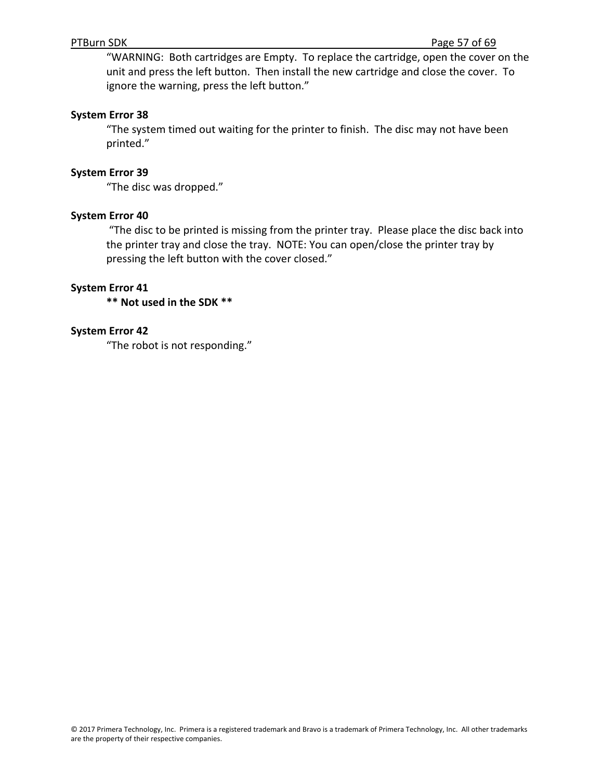"WARNING: Both cartridges are Empty. To replace the cartridge, open the cover on the unit and press the left button. Then install the new cartridge and close the cover. To ignore the warning, press the left button."

#### **System Error 38**

"The system timed out waiting for the printer to finish. The disc may not have been printed."

#### **System Error 39**

"The disc was dropped."

#### **System Error 40**

"The disc to be printed is missing from the printer tray. Please place the disc back into the printer tray and close the tray. NOTE: You can open/close the printer tray by pressing the left button with the cover closed."

#### **System Error 41**

**\*\* Not used in the SDK \*\***

#### **System Error 42**

"The robot is not responding."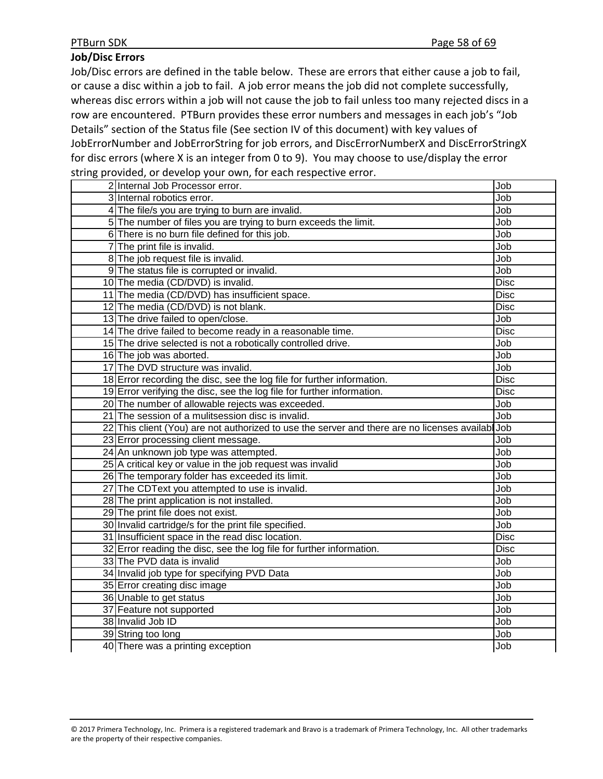## **Job/Disc Errors**

Job/Disc errors are defined in the table below. These are errors that either cause a job to fail, or cause a disc within a job to fail. A job error means the job did not complete successfully, whereas disc errors within a job will not cause the job to fail unless too many rejected discs in a row are encountered. PTBurn provides these error numbers and messages in each job's "Job Details" section of the Status file (See section IV of this document) with key values of JobErrorNumber and JobErrorString for job errors, and DiscErrorNumberX and DiscErrorStringX for disc errors (where X is an integer from 0 to 9). You may choose to use/display the error string provided, or develop your own, for each respective error.

| 2 Internal Job Processor error.                                                                 | Job         |
|-------------------------------------------------------------------------------------------------|-------------|
| 3 Internal robotics error.                                                                      | Job         |
| 4 The file/s you are trying to burn are invalid.                                                | Job         |
| 5 The number of files you are trying to burn exceeds the limit.                                 | Job         |
| 6 There is no burn file defined for this job.                                                   | Job         |
| 7 The print file is invalid.                                                                    | Job         |
| 8 The job request file is invalid.                                                              | Job         |
| 9 The status file is corrupted or invalid.                                                      | Job         |
| 10 The media (CD/DVD) is invalid.                                                               | <b>Disc</b> |
| 11 The media (CD/DVD) has insufficient space.                                                   | <b>Disc</b> |
| 12 The media (CD/DVD) is not blank.                                                             | <b>Disc</b> |
| 13 The drive failed to open/close.                                                              | Job         |
| 14 The drive failed to become ready in a reasonable time.                                       | <b>Disc</b> |
| 15 The drive selected is not a robotically controlled drive.                                    | Job         |
| 16 The job was aborted.                                                                         | Job         |
| 17 The DVD structure was invalid.                                                               | Job         |
| 18 Error recording the disc, see the log file for further information.                          | <b>Disc</b> |
| 19 Error verifying the disc, see the log file for further information.                          | Disc        |
| 20 The number of allowable rejects was exceeded.                                                | Job         |
| 21 The session of a mulitsession disc is invalid.                                               | Job         |
| 22 This client (You) are not authorized to use the server and there are no licenses availab Job |             |
| 23 Error processing client message.                                                             | Job         |
| 24 An unknown job type was attempted.                                                           | Job         |
| 25 A critical key or value in the job request was invalid                                       | Job         |
| 26 The temporary folder has exceeded its limit.                                                 | Job         |
| 27 The CDText you attempted to use is invalid.                                                  | Job         |
| 28 The print application is not installed.                                                      | Job         |
| 29 The print file does not exist.                                                               | Job         |
| 30 Invalid cartridge/s for the print file specified.                                            | Job         |
| 31 Insufficient space in the read disc location.                                                | <b>Disc</b> |
| 32 Error reading the disc, see the log file for further information.                            | <b>Disc</b> |
| 33 The PVD data is invalid                                                                      | Job         |
| 34 Invalid job type for specifying PVD Data                                                     | Job         |
| 35 Error creating disc image                                                                    | Job         |
| 36 Unable to get status                                                                         | Job         |
| 37 Feature not supported                                                                        | Job         |
| 38 Invalid Job ID                                                                               | Job         |
| 39 String too long                                                                              | Job         |
| 40 There was a printing exception                                                               | Job         |

© 2017 Primera Technology, Inc. Primera is a registered trademark and Bravo is a trademark of Primera Technology, Inc. All other trademarks are the property of their respective companies.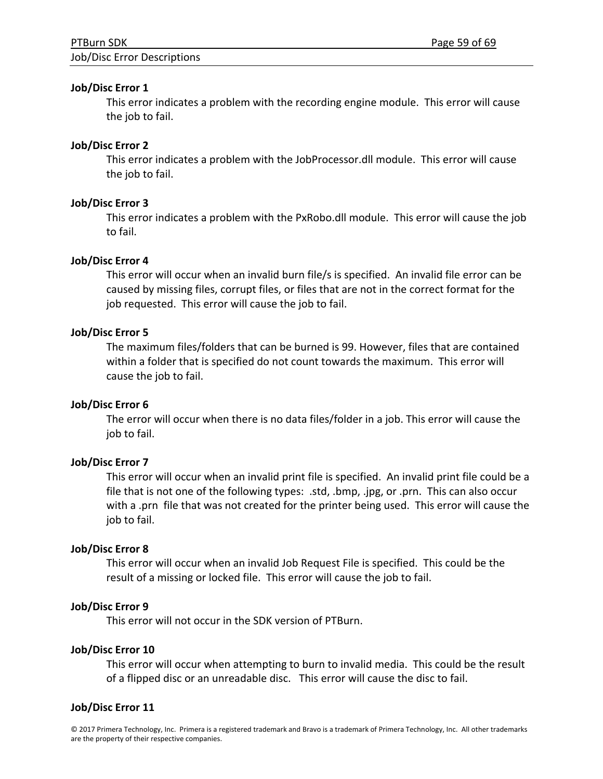#### Job/Disc Error Descriptions

#### **Job/Disc Error 1**

This error indicates a problem with the recording engine module. This error will cause the job to fail.

## **Job/Disc Error 2**

This error indicates a problem with the JobProcessor.dll module. This error will cause the job to fail.

## **Job/Disc Error 3**

This error indicates a problem with the PxRobo.dll module. This error will cause the job to fail.

## **Job/Disc Error 4**

This error will occur when an invalid burn file/s is specified. An invalid file error can be caused by missing files, corrupt files, or files that are not in the correct format for the job requested. This error will cause the job to fail.

## **Job/Disc Error 5**

The maximum files/folders that can be burned is 99. However, files that are contained within a folder that is specified do not count towards the maximum. This error will cause the job to fail.

## **Job/Disc Error 6**

The error will occur when there is no data files/folder in a job. This error will cause the job to fail.

## **Job/Disc Error 7**

This error will occur when an invalid print file is specified. An invalid print file could be a file that is not one of the following types: .std, .bmp, .jpg, or .prn. This can also occur with a .prn file that was not created for the printer being used. This error will cause the job to fail.

## **Job/Disc Error 8**

This error will occur when an invalid Job Request File is specified. This could be the result of a missing or locked file. This error will cause the job to fail.

## **Job/Disc Error 9**

This error will not occur in the SDK version of PTBurn.

## **Job/Disc Error 10**

This error will occur when attempting to burn to invalid media. This could be the result of a flipped disc or an unreadable disc. This error will cause the disc to fail.

## **Job/Disc Error 11**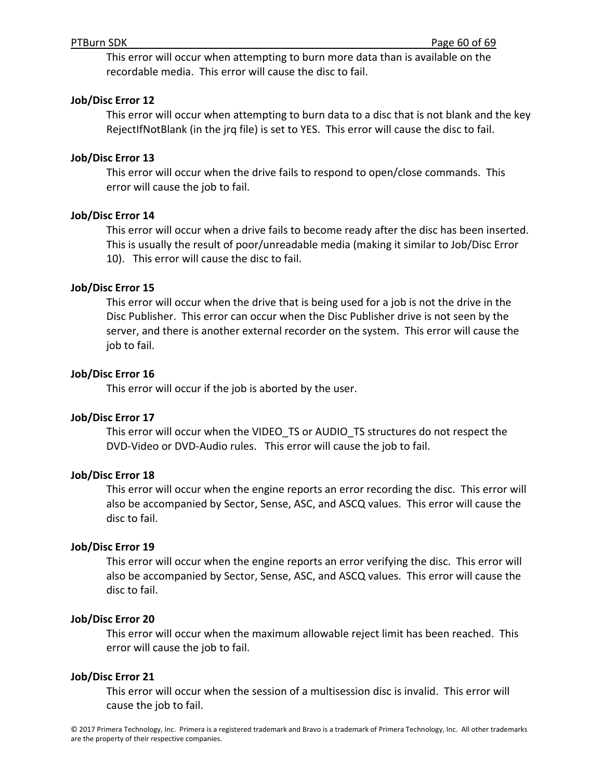This error will occur when attempting to burn more data than is available on the recordable media. This error will cause the disc to fail.

#### **Job/Disc Error 12**

This error will occur when attempting to burn data to a disc that is not blank and the key RejectIfNotBlank (in the jrq file) is set to YES. This error will cause the disc to fail.

#### **Job/Disc Error 13**

This error will occur when the drive fails to respond to open/close commands. This error will cause the job to fail.

#### **Job/Disc Error 14**

This error will occur when a drive fails to become ready after the disc has been inserted. This is usually the result of poor/unreadable media (making it similar to Job/Disc Error 10). This error will cause the disc to fail.

#### **Job/Disc Error 15**

This error will occur when the drive that is being used for a job is not the drive in the Disc Publisher. This error can occur when the Disc Publisher drive is not seen by the server, and there is another external recorder on the system. This error will cause the job to fail.

#### **Job/Disc Error 16**

This error will occur if the job is aborted by the user.

#### **Job/Disc Error 17**

This error will occur when the VIDEO\_TS or AUDIO\_TS structures do not respect the DVD‐Video or DVD‐Audio rules. This error will cause the job to fail.

#### **Job/Disc Error 18**

This error will occur when the engine reports an error recording the disc. This error will also be accompanied by Sector, Sense, ASC, and ASCQ values. This error will cause the disc to fail.

#### **Job/Disc Error 19**

This error will occur when the engine reports an error verifying the disc. This error will also be accompanied by Sector, Sense, ASC, and ASCQ values. This error will cause the disc to fail.

#### **Job/Disc Error 20**

This error will occur when the maximum allowable reject limit has been reached. This error will cause the job to fail.

#### **Job/Disc Error 21**

This error will occur when the session of a multisession disc is invalid. This error will cause the job to fail.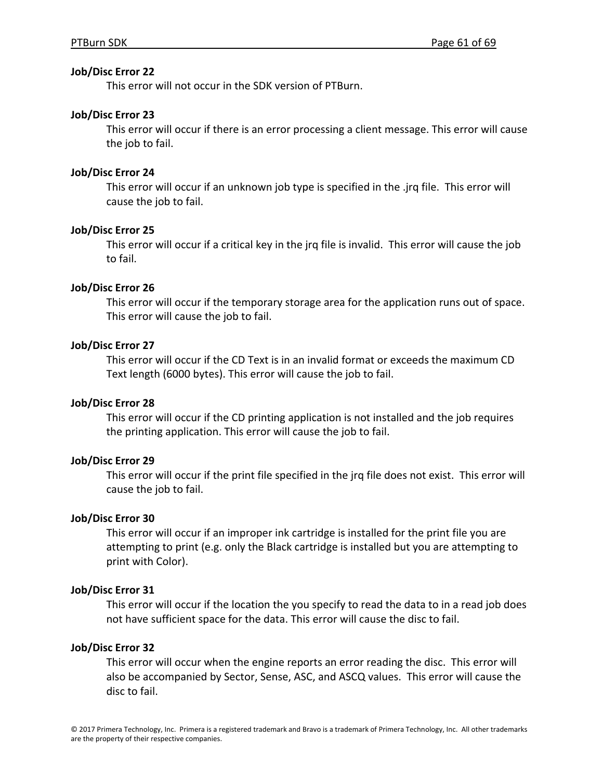#### **Job/Disc Error 22**

This error will not occur in the SDK version of PTBurn.

#### **Job/Disc Error 23**

This error will occur if there is an error processing a client message. This error will cause the job to fail.

## **Job/Disc Error 24**

This error will occur if an unknown job type is specified in the .jrq file. This error will cause the job to fail.

#### **Job/Disc Error 25**

This error will occur if a critical key in the jrq file is invalid. This error will cause the job to fail.

#### **Job/Disc Error 26**

This error will occur if the temporary storage area for the application runs out of space. This error will cause the job to fail.

#### **Job/Disc Error 27**

This error will occur if the CD Text is in an invalid format or exceeds the maximum CD Text length (6000 bytes). This error will cause the job to fail.

## **Job/Disc Error 28**

This error will occur if the CD printing application is not installed and the job requires the printing application. This error will cause the job to fail.

#### **Job/Disc Error 29**

This error will occur if the print file specified in the jrq file does not exist. This error will cause the job to fail.

#### **Job/Disc Error 30**

This error will occur if an improper ink cartridge is installed for the print file you are attempting to print (e.g. only the Black cartridge is installed but you are attempting to print with Color).

#### **Job/Disc Error 31**

This error will occur if the location the you specify to read the data to in a read job does not have sufficient space for the data. This error will cause the disc to fail.

#### **Job/Disc Error 32**

This error will occur when the engine reports an error reading the disc. This error will also be accompanied by Sector, Sense, ASC, and ASCQ values. This error will cause the disc to fail.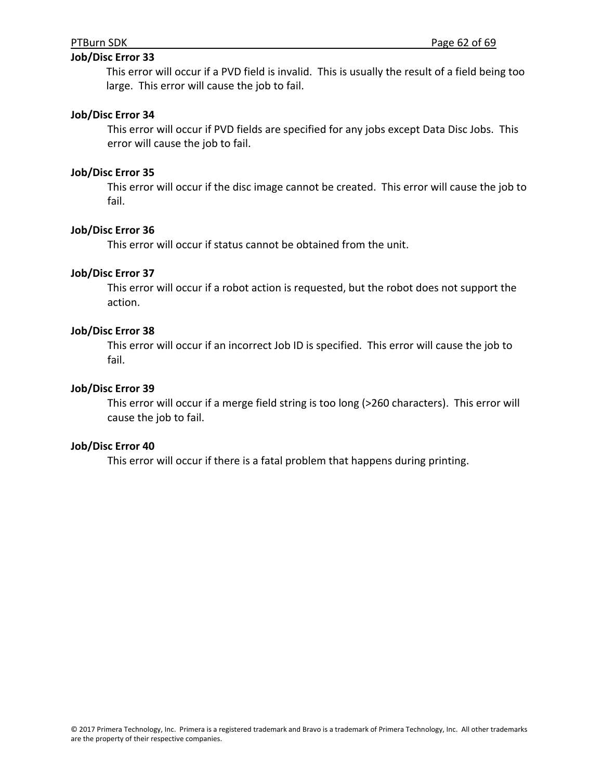## **Job/Disc Error 33**

This error will occur if a PVD field is invalid. This is usually the result of a field being too large. This error will cause the job to fail.

#### **Job/Disc Error 34**

This error will occur if PVD fields are specified for any jobs except Data Disc Jobs. This error will cause the job to fail.

#### **Job/Disc Error 35**

This error will occur if the disc image cannot be created. This error will cause the job to fail.

#### **Job/Disc Error 36**

This error will occur if status cannot be obtained from the unit.

#### **Job/Disc Error 37**

This error will occur if a robot action is requested, but the robot does not support the action.

#### **Job/Disc Error 38**

This error will occur if an incorrect Job ID is specified. This error will cause the job to fail.

#### **Job/Disc Error 39**

This error will occur if a merge field string is too long (>260 characters). This error will cause the job to fail.

#### **Job/Disc Error 40**

This error will occur if there is a fatal problem that happens during printing.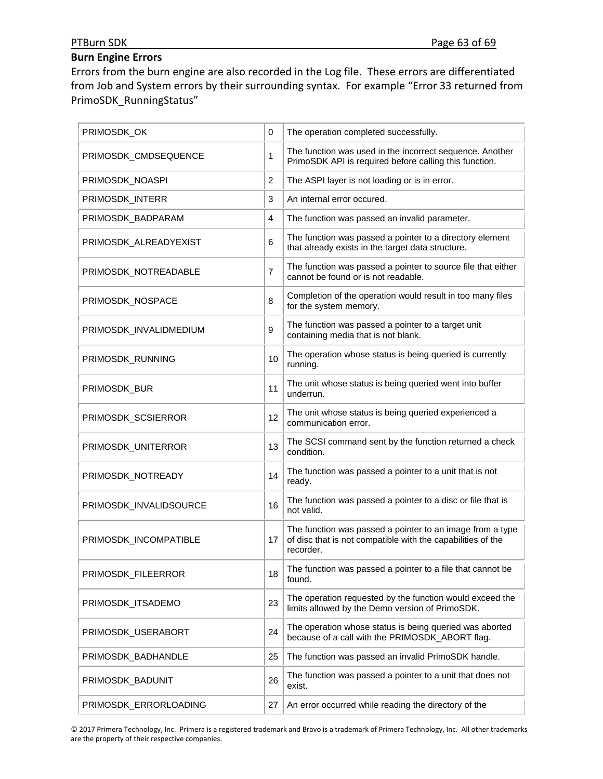# **Burn Engine Errors**

Errors from the burn engine are also recorded in the Log file. These errors are differentiated from Job and System errors by their surrounding syntax. For example "Error 33 returned from PrimoSDK\_RunningStatus"

| PRIMOSDK_OK            | 0              | The operation completed successfully.                                                                                                 |
|------------------------|----------------|---------------------------------------------------------------------------------------------------------------------------------------|
| PRIMOSDK_CMDSEQUENCE   | 1              | The function was used in the incorrect sequence. Another<br>PrimoSDK API is required before calling this function.                    |
| PRIMOSDK_NOASPI        | $\overline{2}$ | The ASPI layer is not loading or is in error.                                                                                         |
| PRIMOSDK_INTERR        | 3              | An internal error occured.                                                                                                            |
| PRIMOSDK_BADPARAM      | $\overline{4}$ | The function was passed an invalid parameter.                                                                                         |
| PRIMOSDK_ALREADYEXIST  | 6              | The function was passed a pointer to a directory element<br>that already exists in the target data structure.                         |
| PRIMOSDK_NOTREADABLE   | $\overline{7}$ | The function was passed a pointer to source file that either<br>cannot be found or is not readable.                                   |
| PRIMOSDK_NOSPACE       | 8              | Completion of the operation would result in too many files<br>for the system memory.                                                  |
| PRIMOSDK_INVALIDMEDIUM | 9              | The function was passed a pointer to a target unit<br>containing media that is not blank.                                             |
| PRIMOSDK_RUNNING       | 10             | The operation whose status is being queried is currently<br>running.                                                                  |
| PRIMOSDK_BUR           | 11             | The unit whose status is being queried went into buffer<br>underrun.                                                                  |
| PRIMOSDK_SCSIERROR     | 12             | The unit whose status is being queried experienced a<br>communication error.                                                          |
| PRIMOSDK_UNITERROR     | 13             | The SCSI command sent by the function returned a check<br>condition.                                                                  |
| PRIMOSDK_NOTREADY      | 14             | The function was passed a pointer to a unit that is not<br>ready.                                                                     |
| PRIMOSDK_INVALIDSOURCE | 16             | The function was passed a pointer to a disc or file that is<br>not valid.                                                             |
| PRIMOSDK_INCOMPATIBLE  | 17             | The function was passed a pointer to an image from a type<br>of disc that is not compatible with the capabilities of the<br>recorder. |
| PRIMOSDK_FILEERROR     | 18             | The function was passed a pointer to a file that cannot be<br>found.                                                                  |
| PRIMOSDK_ITSADEMO      | 23             | The operation requested by the function would exceed the<br>limits allowed by the Demo version of PrimoSDK.                           |
| PRIMOSDK_USERABORT     | 24             | The operation whose status is being queried was aborted<br>because of a call with the PRIMOSDK_ABORT flag.                            |
| PRIMOSDK_BADHANDLE     | 25             | The function was passed an invalid PrimoSDK handle.                                                                                   |
| PRIMOSDK_BADUNIT       | 26             | The function was passed a pointer to a unit that does not<br>exist.                                                                   |
| PRIMOSDK_ERRORLOADING  | 27             | An error occurred while reading the directory of the                                                                                  |

© 2017 Primera Technology, Inc. Primera is a registered trademark and Bravo is a trademark of Primera Technology, Inc. All other trademarks are the property of their respective companies.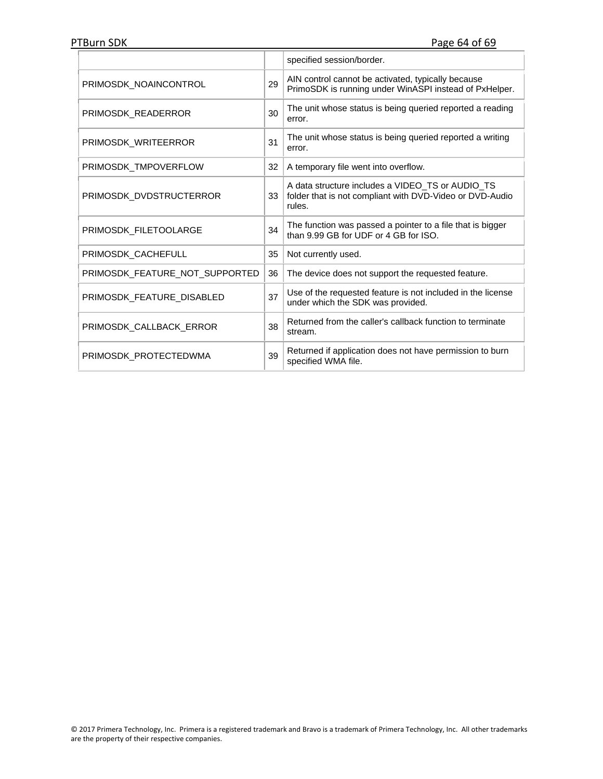|                                |    | specified session/border.                                                                                              |
|--------------------------------|----|------------------------------------------------------------------------------------------------------------------------|
| PRIMOSDK NOAINCONTROL          | 29 | AIN control cannot be activated, typically because<br>PrimoSDK is running under WinASPI instead of PxHelper.           |
| PRIMOSDK READERROR             | 30 | The unit whose status is being queried reported a reading<br>error.                                                    |
| PRIMOSDK WRITEERROR            | 31 | The unit whose status is being queried reported a writing<br>error.                                                    |
| PRIMOSDK TMPOVERFLOW           | 32 | A temporary file went into overflow.                                                                                   |
| PRIMOSDK DVDSTRUCTERROR        | 33 | A data structure includes a VIDEO_TS or AUDIO_TS<br>folder that is not compliant with DVD-Video or DVD-Audio<br>rules. |
| PRIMOSDK FILETOOLARGE          | 34 | The function was passed a pointer to a file that is bigger<br>than 9.99 GB for UDF or 4 GB for ISO.                    |
| PRIMOSDK_CACHEFULL             | 35 | Not currently used.                                                                                                    |
| PRIMOSDK_FEATURE_NOT_SUPPORTED | 36 | The device does not support the requested feature.                                                                     |
| PRIMOSDK FEATURE DISABLED      | 37 | Use of the requested feature is not included in the license<br>under which the SDK was provided.                       |
| PRIMOSDK CALLBACK ERROR        | 38 | Returned from the caller's callback function to terminate<br>stream.                                                   |
| PRIMOSDK PROTECTEDWMA          | 39 | Returned if application does not have permission to burn<br>specified WMA file.                                        |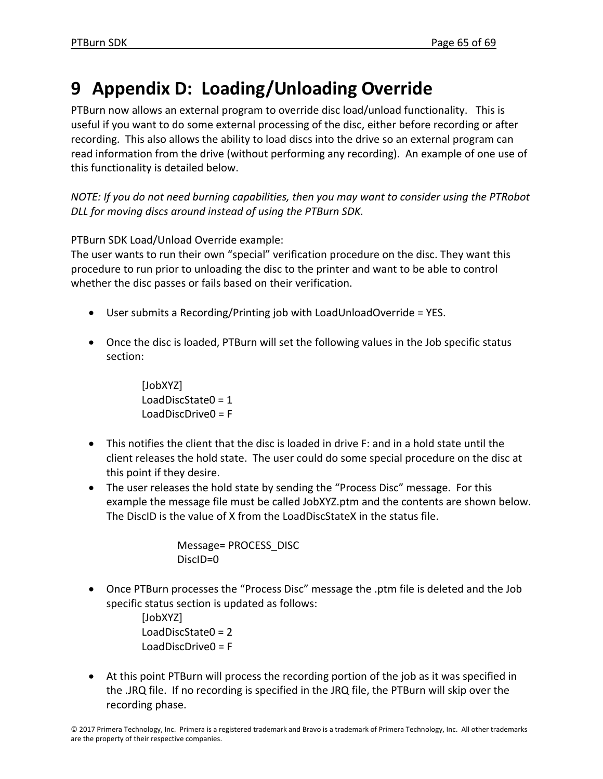# **9 Appendix D: Loading/Unloading Override**

PTBurn now allows an external program to override disc load/unload functionality. This is useful if you want to do some external processing of the disc, either before recording or after recording. This also allows the ability to load discs into the drive so an external program can read information from the drive (without performing any recording). An example of one use of this functionality is detailed below.

*NOTE: If you do not need burning capabilities, then you may want to consider using the PTRobot DLL for moving discs around instead of using the PTBurn SDK.*

PTBurn SDK Load/Unload Override example:

The user wants to run their own "special" verification procedure on the disc. They want this procedure to run prior to unloading the disc to the printer and want to be able to control whether the disc passes or fails based on their verification.

- User submits a Recording/Printing job with LoadUnloadOverride = YES.
- Once the disc is loaded, PTBurn will set the following values in the Job specific status section:

[JobXYZ] LoadDiscState0 = 1 LoadDiscDrive0 = F

- This notifies the client that the disc is loaded in drive F: and in a hold state until the client releases the hold state. The user could do some special procedure on the disc at this point if they desire.
- The user releases the hold state by sending the "Process Disc" message. For this example the message file must be called JobXYZ.ptm and the contents are shown below. The DiscID is the value of X from the LoadDiscStateX in the status file.

```
Message= PROCESS_DISC   
DiscID=0
```
• Once PTBurn processes the "Process Disc" message the .ptm file is deleted and the Job specific status section is updated as follows:

> [JobXYZ] LoadDiscState0 = 2 LoadDiscDrive0 = F

• At this point PTBurn will process the recording portion of the job as it was specified in the .JRQ file. If no recording is specified in the JRQ file, the PTBurn will skip over the recording phase.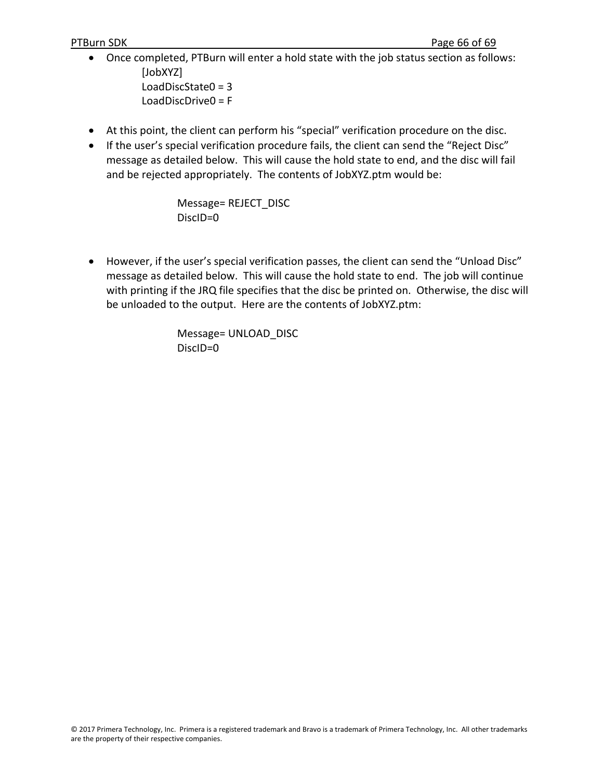- Once completed, PTBurn will enter a hold state with the job status section as follows: [JobXYZ] LoadDiscState0 = 3 LoadDiscDrive0 = F
- At this point, the client can perform his "special" verification procedure on the disc.
- If the user's special verification procedure fails, the client can send the "Reject Disc" message as detailed below. This will cause the hold state to end, and the disc will fail and be rejected appropriately. The contents of JobXYZ.ptm would be:

Message= REJECT\_DISC DiscID=0

• However, if the user's special verification passes, the client can send the "Unload Disc" message as detailed below. This will cause the hold state to end. The job will continue with printing if the JRQ file specifies that the disc be printed on. Otherwise, the disc will be unloaded to the output. Here are the contents of JobXYZ.ptm:

> Message= UNLOAD\_DISC DiscID=0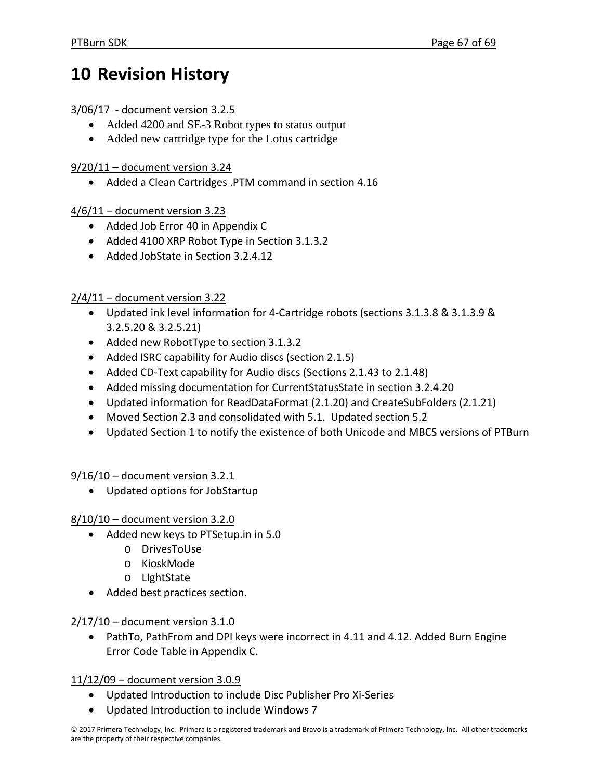# **10 Revision History**

## 3/06/17 ‐ document version 3.2.5

- Added 4200 and SE-3 Robot types to status output
- Added new cartridge type for the Lotus cartridge

## 9/20/11 – document version 3.24

• Added a Clean Cartridges .PTM command in section 4.16

## 4/6/11 – document version 3.23

- Added Job Error 40 in Appendix C
- Added 4100 XRP Robot Type in Section 3.1.3.2
- Added JobState in Section 3.2.4.12

# $2/4/11$  – document version 3.22

- Updated ink level information for 4‐Cartridge robots (sections 3.1.3.8 & 3.1.3.9 & 3.2.5.20 & 3.2.5.21)
- Added new RobotType to section 3.1.3.2
- Added ISRC capability for Audio discs (section 2.1.5)
- Added CD-Text capability for Audio discs (Sections 2.1.43 to 2.1.48)
- Added missing documentation for CurrentStatusState in section 3.2.4.20
- Updated information for ReadDataFormat (2.1.20) and CreateSubFolders (2.1.21)
- Moved Section 2.3 and consolidated with 5.1. Updated section 5.2
- Updated Section 1 to notify the existence of both Unicode and MBCS versions of PTBurn

9/16/10 – document version 3.2.1

• Updated options for JobStartup

## 8/10/10 – document version 3.2.0

- Added new keys to PTSetup.in in 5.0
	- o DrivesToUse
	- o KioskMode
	- o LIghtState
- Added best practices section.

# 2/17/10 – document version 3.1.0

• PathTo, PathFrom and DPI keys were incorrect in 4.11 and 4.12. Added Burn Engine Error Code Table in Appendix C.

11/12/09 – document version 3.0.9

- Updated Introduction to include Disc Publisher Pro Xi‐Series
- Updated Introduction to include Windows 7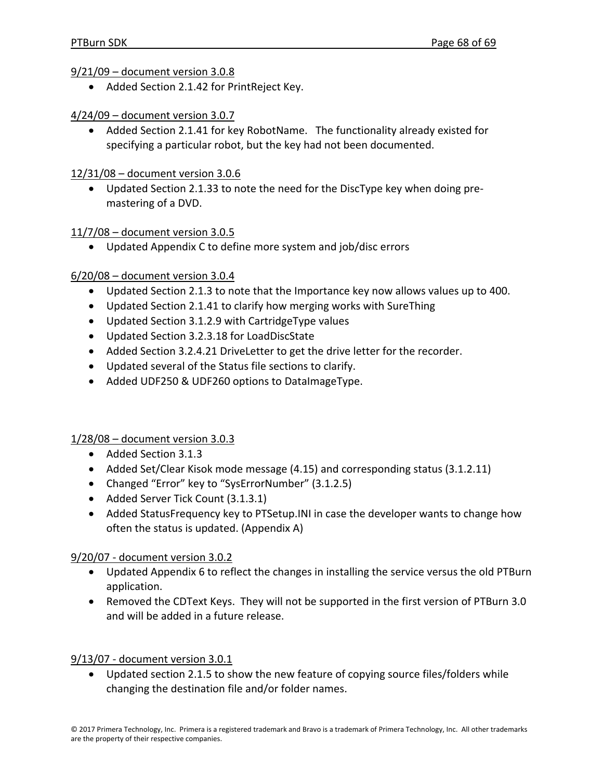9/21/09 – document version 3.0.8

- Added Section 2.1.42 for PrintReject Key.
- 4/24/09 document version 3.0.7
	- Added Section 2.1.41 for key RobotName. The functionality already existed for specifying a particular robot, but the key had not been documented.
- 12/31/08 document version 3.0.6
	- Updated Section 2.1.33 to note the need for the DiscType key when doing pre‐ mastering of a DVD.

## 11/7/08 – document version 3.0.5

• Updated Appendix C to define more system and job/disc errors

## 6/20/08 – document version 3.0.4

- Updated Section 2.1.3 to note that the Importance key now allows values up to 400.
- Updated Section 2.1.41 to clarify how merging works with SureThing
- Updated Section 3.1.2.9 with CartridgeType values
- Updated Section 3.2.3.18 for LoadDiscState
- Added Section 3.2.4.21 DriveLetter to get the drive letter for the recorder.
- Updated several of the Status file sections to clarify.
- Added UDF250 & UDF260 options to DataImageType.

## 1/28/08 – document version 3.0.3

- Added Section 3.1.3
- Added Set/Clear Kisok mode message (4.15) and corresponding status (3.1.2.11)
- Changed "Error" key to "SysErrorNumber" (3.1.2.5)
- Added Server Tick Count (3.1.3.1)
- Added StatusFrequency key to PTSetup.INI in case the developer wants to change how often the status is updated. (Appendix A)

## 9/20/07 ‐ document version 3.0.2

- Updated Appendix 6 to reflect the changes in installing the service versus the old PTBurn application.
- Removed the CDText Keys. They will not be supported in the first version of PTBurn 3.0 and will be added in a future release.

## 9/13/07 ‐ document version 3.0.1

• Updated section 2.1.5 to show the new feature of copying source files/folders while changing the destination file and/or folder names.